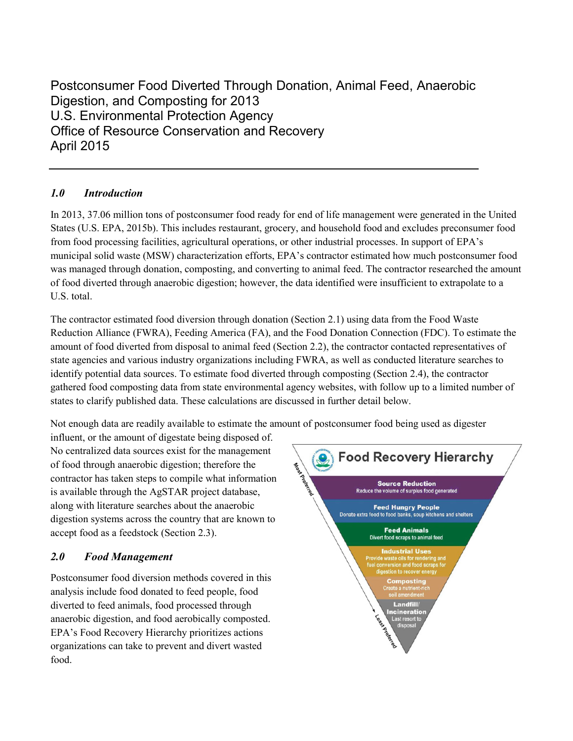Postconsumer Food Diverted Through Donation, Animal Feed, Anaerobic Digestion, and Composting for 2013 U.S. Environmental Protection Agency Office of Resource Conservation and Recovery April 2015

# *1.0 Introduction*

In 2013, 37.06 million tons of postconsumer food ready for end of life management were generated in the United States (U.S. EPA, 2015b). This includes restaurant, grocery, and household food and excludes preconsumer food from food processing facilities, agricultural operations, or other industrial processes. In support of EPA's municipal solid waste (MSW) characterization efforts, EPA's contractor estimated how much postconsumer food was managed through donation, composting, and converting to animal feed. The contractor researched the amount of food diverted through anaerobic digestion; however, the data identified were insufficient to extrapolate to a U.S. total.

The contractor estimated food diversion through donation (Section 2.1) using data from the Food Waste Reduction Alliance (FWRA), Feeding America (FA), and the Food Donation Connection (FDC). To estimate the amount of food diverted from disposal to animal feed (Section 2.2), the contractor contacted representatives of state agencies and various industry organizations including FWRA, as well as conducted literature searches to identify potential data sources. To estimate food diverted through composting (Section 2.4), the contractor gathered food composting data from state environmental agency websites, with follow up to a limited number of states to clarify published data. These calculations are discussed in further detail below.

Not enough data are readily available to estimate the amount of postconsumer food being used as digester

influent, or the amount of digestate being disposed of. No centralized data sources exist for the management of food through anaerobic digestion; therefore the contractor has taken steps to compile what information is available through the AgSTAR project database, along with literature searches about the anaerobic digestion systems across the country that are known to accept food as a feedstock (Section 2.3).

# *2.0 Food Management*

Postconsumer food diversion methods covered in this analysis include food donated to feed people, food diverted to feed animals, food processed through anaerobic digestion, and food aerobically composted. EPA's Food Recovery Hierarchy prioritizes actions organizations can take to prevent and divert wasted food.

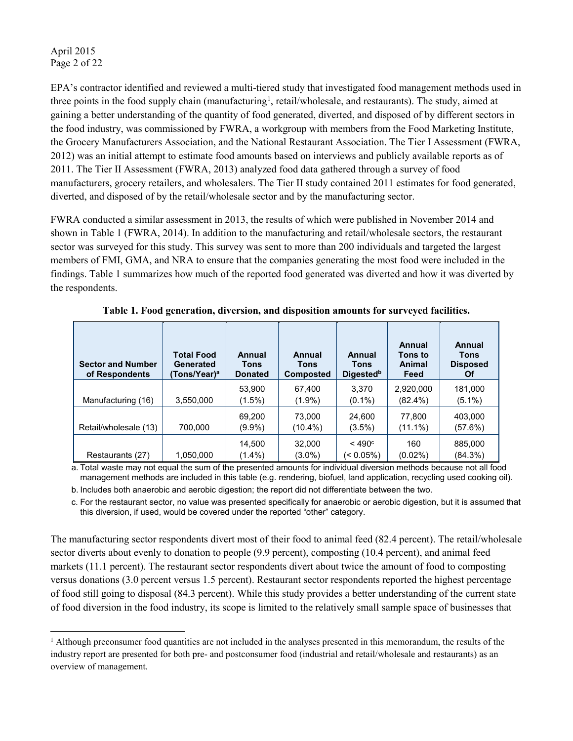#### April 2015 Page 2 of 22

l

EPA's contractor identified and reviewed a multi-tiered study that investigated food management methods used in three points in the food supply chain (manufacturing<sup>[1](#page-1-0)</sup>, retail/wholesale, and restaurants). The study, aimed at gaining a better understanding of the quantity of food generated, diverted, and disposed of by different sectors in the food industry, was commissioned by FWRA, a workgroup with members from the Food Marketing Institute, the Grocery Manufacturers Association, and the National Restaurant Association. The Tier I Assessment (FWRA, 2012) was an initial attempt to estimate food amounts based on interviews and publicly available reports as of 2011. The Tier II Assessment (FWRA, 2013) analyzed food data gathered through a survey of food manufacturers, grocery retailers, and wholesalers. The Tier II study contained 2011 estimates for food generated, diverted, and disposed of by the retail/wholesale sector and by the manufacturing sector.

FWRA conducted a similar assessment in 2013, the results of which were published in November 2014 and shown in Table 1 (FWRA, 2014). In addition to the manufacturing and retail/wholesale sectors, the restaurant sector was surveyed for this study. This survey was sent to more than 200 individuals and targeted the largest members of FMI, GMA, and NRA to ensure that the companies generating the most food were included in the findings. Table 1 summarizes how much of the reported food generated was diverted and how it was diverted by the respondents.

| <b>Sector and Number</b><br>of Respondents | <b>Total Food</b><br>Generated<br>(Tons/Year)ª | Annual<br>Tons<br><b>Donated</b> | <b>Annual</b><br>Tons<br><b>Composted</b> | Annual<br><b>Tons</b><br><b>Digested</b> <sup>b</sup> | Annual<br>Tons to<br>Animal<br>Feed | Annual<br>Tons<br><b>Disposed</b><br>Οf |
|--------------------------------------------|------------------------------------------------|----------------------------------|-------------------------------------------|-------------------------------------------------------|-------------------------------------|-----------------------------------------|
| Manufacturing (16)                         | 3,550,000                                      | 53,900<br>$(1.5\%)$              | 67,400<br>$(1.9\%)$                       | 3.370<br>$(0.1\%)$                                    | 2,920,000<br>$(82.4\%)$             | 181,000<br>(5.1%)                       |
| Retail/wholesale (13)                      | 700.000                                        | 69.200<br>(9.9%)                 | 73,000<br>$(10.4\%)$                      | 24,600<br>$(3.5\%)$                                   | 77.800<br>$(11.1\%)$                | 403,000<br>(57.6%)                      |
| Restaurants (27)                           | 1,050,000                                      | 14,500<br>$(1.4\%)$              | 32,000<br>$(3.0\%)$                       | $<$ 490 $^{\circ}$<br>(< 0.05%)                       | 160<br>$(0.02\%)$                   | 885,000<br>$(84.3\%)$                   |

**Table 1. Food generation, diversion, and disposition amounts for surveyed facilities.**

a. Total waste may not equal the sum of the presented amounts for individual diversion methods because not all food management methods are included in this table (e.g. rendering, biofuel, land application, recycling used cooking oil).

b. Includes both anaerobic and aerobic digestion; the report did not differentiate between the two.

c. For the restaurant sector, no value was presented specifically for anaerobic or aerobic digestion, but it is assumed that this diversion, if used, would be covered under the reported "other" category.

The manufacturing sector respondents divert most of their food to animal feed (82.4 percent). The retail/wholesale sector diverts about evenly to donation to people (9.9 percent), composting (10.4 percent), and animal feed markets (11.1 percent). The restaurant sector respondents divert about twice the amount of food to composting versus donations (3.0 percent versus 1.5 percent). Restaurant sector respondents reported the highest percentage of food still going to disposal (84.3 percent). While this study provides a better understanding of the current state of food diversion in the food industry, its scope is limited to the relatively small sample space of businesses that

<span id="page-1-0"></span><sup>1</sup> Although preconsumer food quantities are not included in the analyses presented in this memorandum, the results of the industry report are presented for both pre- and postconsumer food (industrial and retail/wholesale and restaurants) as an overview of management.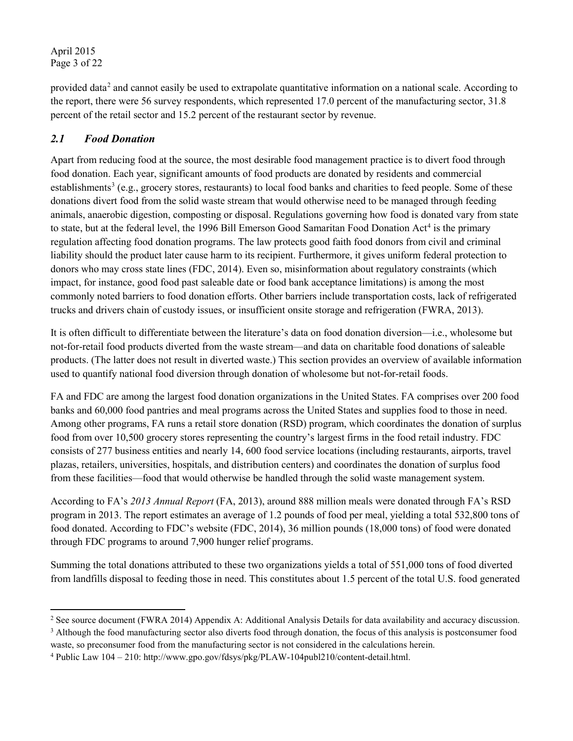April 2015 Page 3 of 22

provided data<sup>[2](#page-2-0)</sup> and cannot easily be used to extrapolate quantitative information on a national scale. According to the report, there were 56 survey respondents, which represented 17.0 percent of the manufacturing sector, 31.8 percent of the retail sector and 15.2 percent of the restaurant sector by revenue.

## *2.1 Food Donation*

Apart from reducing food at the source, the most desirable food management practice is to divert food through food donation. Each year, significant amounts of food products are donated by residents and commercial establishments<sup>[3](#page-2-1)</sup> (e.g., grocery stores, restaurants) to local food banks and charities to feed people. Some of these donations divert food from the solid waste stream that would otherwise need to be managed through feeding animals, anaerobic digestion, composting or disposal. Regulations governing how food is donated vary from state to state, but at the federal level, the 1996 Bill Emerson Good Samaritan Food Donation  $Act<sup>4</sup>$  $Act<sup>4</sup>$  $Act<sup>4</sup>$  is the primary regulation affecting food donation programs. The law protects good faith food donors from civil and criminal liability should the product later cause harm to its recipient. Furthermore, it gives uniform federal protection to donors who may cross state lines (FDC, 2014). Even so, misinformation about regulatory constraints (which impact, for instance, good food past saleable date or food bank acceptance limitations) is among the most commonly noted barriers to food donation efforts. Other barriers include transportation costs, lack of refrigerated trucks and drivers chain of custody issues, or insufficient onsite storage and refrigeration (FWRA, 2013).

It is often difficult to differentiate between the literature's data on food donation diversion—i.e., wholesome but not-for-retail food products diverted from the waste stream—and data on charitable food donations of saleable products. (The latter does not result in diverted waste.) This section provides an overview of available information used to quantify national food diversion through donation of wholesome but not-for-retail foods.

FA and FDC are among the largest food donation organizations in the United States. FA comprises over 200 food banks and 60,000 food pantries and meal programs across the United States and supplies food to those in need. Among other programs, FA runs a retail store donation (RSD) program, which coordinates the donation of surplus food from over 10,500 grocery stores representing the country's largest firms in the food retail industry. FDC consists of 277 business entities and nearly 14, 600 food service locations (including restaurants, airports, travel plazas, retailers, universities, hospitals, and distribution centers) and coordinates the donation of surplus food from these facilities—food that would otherwise be handled through the solid waste management system.

According to FA's *2013 Annual Report* (FA, 2013), around 888 million meals were donated through FA's RSD program in 2013. The report estimates an average of 1.2 pounds of food per meal, yielding a total 532,800 tons of food donated. According to FDC's website (FDC, 2014), 36 million pounds (18,000 tons) of food were donated through FDC programs to around 7,900 hunger relief programs.

Summing the total donations attributed to these two organizations yields a total of 551,000 tons of food diverted from landfills disposal to feeding those in need. This constitutes about 1.5 percent of the total U.S. food generated

l

<span id="page-2-0"></span><sup>&</sup>lt;sup>2</sup> See source document (FWRA 2014) Appendix A: Additional Analysis Details for data availability and accuracy discussion.<br><sup>3</sup> Although the food manufacturing sector also diverts food through donation, the focus of this a

<span id="page-2-2"></span><span id="page-2-1"></span>waste, so preconsumer food from the manufacturing sector is not considered in the calculations herein.<br><sup>4</sup> Public Law 104 – 210: [http://www.gpo.gov/fdsys/pkg/PLAW-104publ210/content-detail.html.](http://www.gpo.gov/fdsys/pkg/PLAW-104publ210/content-detail.html)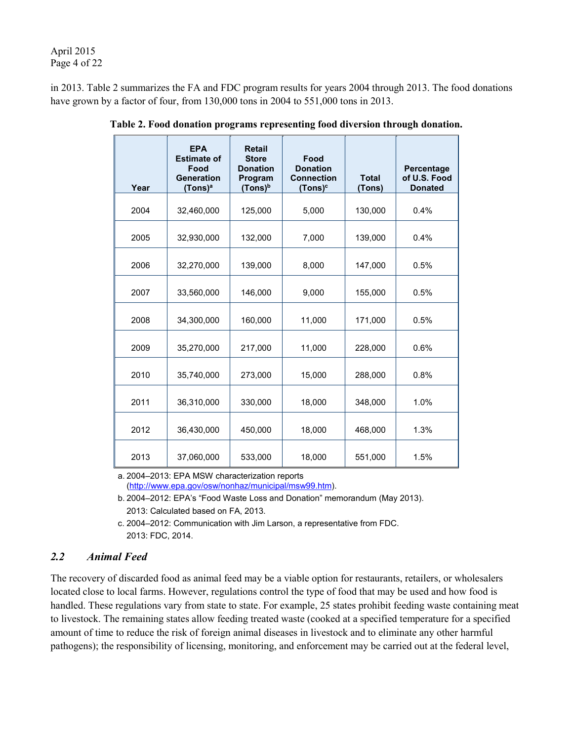April 2015 Page 4 of 22

in 2013. Table 2 summarizes the FA and FDC program results for years 2004 through 2013. The food donations have grown by a factor of four, from 130,000 tons in 2004 to 551,000 tons in 2013.

| Year | <b>EPA</b><br><b>Estimate of</b><br>Food<br>Generation<br>(Tons)ª | <b>Retail</b><br><b>Store</b><br><b>Donation</b><br>Program<br>$(Tons)^b$ | Food<br><b>Donation</b><br><b>Connection</b><br>(Tons) <sup>c</sup> | <b>Total</b><br>(Tons) | Percentage<br>of U.S. Food<br><b>Donated</b> |
|------|-------------------------------------------------------------------|---------------------------------------------------------------------------|---------------------------------------------------------------------|------------------------|----------------------------------------------|
| 2004 | 32,460,000                                                        | 125,000                                                                   | 5,000                                                               | 130,000                | 0.4%                                         |
| 2005 | 32,930,000                                                        | 132,000                                                                   | 7,000                                                               | 139,000                | 0.4%                                         |
| 2006 | 32,270,000                                                        | 139,000                                                                   | 8,000                                                               | 147,000                | 0.5%                                         |
| 2007 | 33,560,000                                                        | 146,000                                                                   | 9,000                                                               | 155,000                | 0.5%                                         |
| 2008 | 34,300,000                                                        | 160,000                                                                   | 11,000                                                              | 171,000                | 0.5%                                         |
| 2009 | 35,270,000                                                        | 217,000                                                                   | 11,000                                                              | 228,000                | 0.6%                                         |
| 2010 | 35,740,000                                                        | 273,000                                                                   | 15,000                                                              | 288,000                | 0.8%                                         |
| 2011 | 36,310,000                                                        | 330,000                                                                   | 18,000                                                              | 348,000                | 1.0%                                         |
| 2012 | 36,430,000                                                        | 450,000                                                                   | 18,000                                                              | 468,000                | 1.3%                                         |
| 2013 | 37,060,000                                                        | 533,000                                                                   | 18,000                                                              | 551,000                | 1.5%                                         |

**Table 2. Food donation programs representing food diversion through donation.**

a. 2004–2013: EPA MSW characterization reports [\(http://www.epa.gov/osw/nonhaz/municipal/msw99.htm\)](http://www.epa.gov/osw/nonhaz/municipal/msw99.htm).

b. 2004–2012: EPA's "Food Waste Loss and Donation" memorandum (May 2013). 2013: Calculated based on FA, 2013.

c. 2004–2012: Communication with Jim Larson, a representative from FDC. 2013: FDC, 2014.

## *2.2 Animal Feed*

The recovery of discarded food as animal feed may be a viable option for restaurants, retailers, or wholesalers located close to local farms. However, regulations control the type of food that may be used and how food is handled. These regulations vary from state to state. For example, 25 states prohibit feeding waste containing meat to livestock. The remaining states allow feeding treated waste (cooked at a specified temperature for a specified amount of time to reduce the risk of foreign animal diseases in livestock and to eliminate any other harmful pathogens); the responsibility of licensing, monitoring, and enforcement may be carried out at the federal level,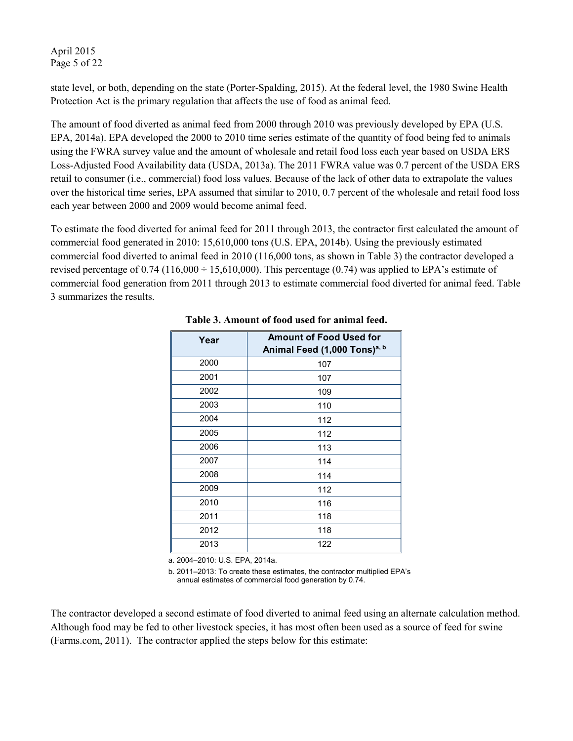April 2015 Page 5 of 22

state level, or both, depending on the state (Porter-Spalding, 2015). At the federal level, the 1980 Swine Health Protection Act is the primary regulation that affects the use of food as animal feed.

The amount of food diverted as animal feed from 2000 through 2010 was previously developed by EPA (U.S. EPA, 2014a). EPA developed the 2000 to 2010 time series estimate of the quantity of food being fed to animals using the FWRA survey value and the amount of wholesale and retail food loss each year based on USDA ERS Loss-Adjusted Food Availability data (USDA, 2013a). The 2011 FWRA value was 0.7 percent of the USDA ERS retail to consumer (i.e., commercial) food loss values. Because of the lack of other data to extrapolate the values over the historical time series, EPA assumed that similar to 2010, 0.7 percent of the wholesale and retail food loss each year between 2000 and 2009 would become animal feed.

To estimate the food diverted for animal feed for 2011 through 2013, the contractor first calculated the amount of commercial food generated in 2010: 15,610,000 tons (U.S. EPA, 2014b). Using the previously estimated commercial food diverted to animal feed in 2010 (116,000 tons, as shown in Table 3) the contractor developed a revised percentage of 0.74 (116,000  $\div$  15,610,000). This percentage (0.74) was applied to EPA's estimate of commercial food generation from 2011 through 2013 to estimate commercial food diverted for animal feed. Table 3 summarizes the results.

| Year | <b>Amount of Food Used for</b><br>Animal Feed (1,000 Tons) <sup>a, b</sup> |
|------|----------------------------------------------------------------------------|
| 2000 | 107                                                                        |
| 2001 | 107                                                                        |
| 2002 | 109                                                                        |
| 2003 | 110                                                                        |
| 2004 | 112                                                                        |
| 2005 | 112                                                                        |
| 2006 | 113                                                                        |
| 2007 | 114                                                                        |
| 2008 | 114                                                                        |
| 2009 | 112                                                                        |
| 2010 | 116                                                                        |
| 2011 | 118                                                                        |
| 2012 | 118                                                                        |
| 2013 | 122                                                                        |

#### **Table 3. Amount of food used for animal feed.**

a. 2004–2010: U.S. EPA, 2014a.

b. 2011–2013: To create these estimates, the contractor multiplied EPA's annual estimates of commercial food generation by 0.74.

The contractor developed a second estimate of food diverted to animal feed using an alternate calculation method. Although food may be fed to other livestock species, it has most often been used as a source of feed for swine (Farms.com, 2011). The contractor applied the steps below for this estimate: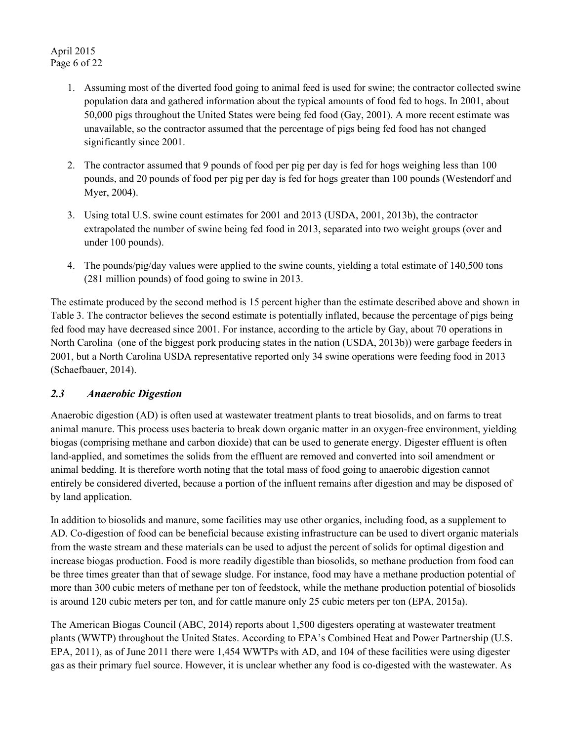- 1. Assuming most of the diverted food going to animal feed is used for swine; the contractor collected swine population data and gathered information about the typical amounts of food fed to hogs. In 2001, about 50,000 pigs throughout the United States were being fed food (Gay, 2001). A more recent estimate was unavailable, so the contractor assumed that the percentage of pigs being fed food has not changed significantly since 2001.
- 2. The contractor assumed that 9 pounds of food per pig per day is fed for hogs weighing less than 100 pounds, and 20 pounds of food per pig per day is fed for hogs greater than 100 pounds (Westendorf and Myer, 2004).
- 3. Using total U.S. swine count estimates for 2001 and 2013 (USDA, 2001, 2013b), the contractor extrapolated the number of swine being fed food in 2013, separated into two weight groups (over and under 100 pounds).
- 4. The pounds/pig/day values were applied to the swine counts, yielding a total estimate of 140,500 tons (281 million pounds) of food going to swine in 2013.

The estimate produced by the second method is 15 percent higher than the estimate described above and shown in Table 3. The contractor believes the second estimate is potentially inflated, because the percentage of pigs being fed food may have decreased since 2001. For instance, according to the article by Gay, about 70 operations in North Carolina (one of the biggest pork producing states in the nation (USDA, 2013b)) were garbage feeders in 2001, but a North Carolina USDA representative reported only 34 swine operations were feeding food in 2013 (Schaefbauer, 2014).

## *2.3 Anaerobic Digestion*

Anaerobic digestion (AD) is often used at wastewater treatment plants to treat biosolids, and on farms to treat animal manure. This process uses bacteria to break down organic matter in an oxygen-free environment, yielding biogas (comprising methane and carbon dioxide) that can be used to generate energy. Digester effluent is often land-applied, and sometimes the solids from the effluent are removed and converted into soil amendment or animal bedding. It is therefore worth noting that the total mass of food going to anaerobic digestion cannot entirely be considered diverted, because a portion of the influent remains after digestion and may be disposed of by land application.

In addition to biosolids and manure, some facilities may use other organics, including food, as a supplement to AD. Co-digestion of food can be beneficial because existing infrastructure can be used to divert organic materials from the waste stream and these materials can be used to adjust the percent of solids for optimal digestion and increase biogas production. Food is more readily digestible than biosolids, so methane production from food can be three times greater than that of sewage sludge. For instance, food may have a methane production potential of more than 300 cubic meters of methane per ton of feedstock, while the methane production potential of biosolids is around 120 cubic meters per ton, and for cattle manure only 25 cubic meters per ton (EPA, 2015a).

The American Biogas Council (ABC, 2014) reports about 1,500 digesters operating at wastewater treatment plants (WWTP) throughout the United States. According to EPA's Combined Heat and Power Partnership (U.S. EPA, 2011), as of June 2011 there were 1,454 WWTPs with AD, and 104 of these facilities were using digester gas as their primary fuel source. However, it is unclear whether any food is co-digested with the wastewater. As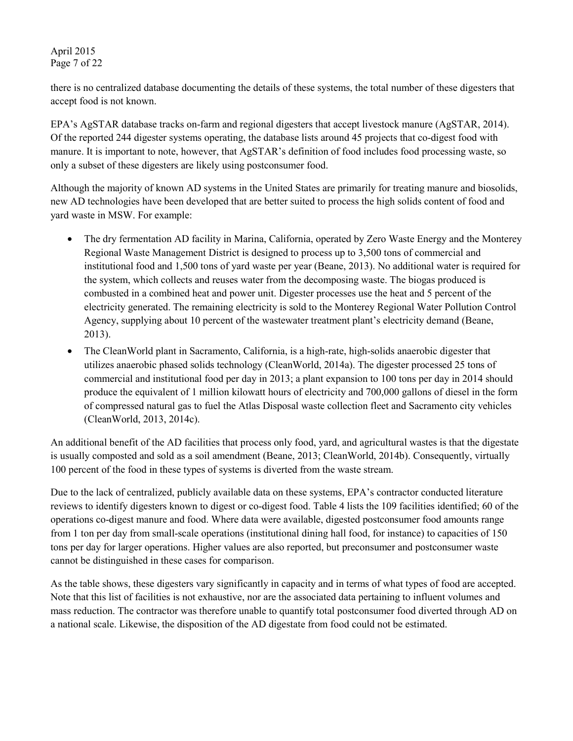#### April 2015 Page 7 of 22

there is no centralized database documenting the details of these systems, the total number of these digesters that accept food is not known.

EPA's AgSTAR database tracks on-farm and regional digesters that accept livestock manure (AgSTAR, 2014). Of the reported 244 digester systems operating, the database lists around 45 projects that co-digest food with manure. It is important to note, however, that AgSTAR's definition of food includes food processing waste, so only a subset of these digesters are likely using postconsumer food.

Although the majority of known AD systems in the United States are primarily for treating manure and biosolids, new AD technologies have been developed that are better suited to process the high solids content of food and yard waste in MSW. For example:

- The dry fermentation AD facility in Marina, California, operated by Zero Waste Energy and the Monterey Regional Waste Management District is designed to process up to 3,500 tons of commercial and institutional food and 1,500 tons of yard waste per year (Beane, 2013). No additional water is required for the system, which collects and reuses water from the decomposing waste. The biogas produced is combusted in a combined heat and power unit. Digester processes use the heat and 5 percent of the electricity generated. The remaining electricity is sold to the Monterey Regional Water Pollution Control Agency, supplying about 10 percent of the wastewater treatment plant's electricity demand (Beane, 2013).
- The CleanWorld plant in Sacramento, California, is a high-rate, high-solids anaerobic digester that utilizes anaerobic phased solids technology (CleanWorld, 2014a). The digester processed 25 tons of commercial and institutional food per day in 2013; a plant expansion to 100 tons per day in 2014 should produce the equivalent of 1 million kilowatt hours of electricity and 700,000 gallons of diesel in the form of compressed natural gas to fuel the Atlas Disposal waste collection fleet and Sacramento city vehicles (CleanWorld, 2013, 2014c).

An additional benefit of the AD facilities that process only food, yard, and agricultural wastes is that the digestate is usually composted and sold as a soil amendment (Beane, 2013; CleanWorld, 2014b). Consequently, virtually 100 percent of the food in these types of systems is diverted from the waste stream.

Due to the lack of centralized, publicly available data on these systems, EPA's contractor conducted literature reviews to identify digesters known to digest or co-digest food. Table 4 lists the 109 facilities identified; 60 of the operations co-digest manure and food. Where data were available, digested postconsumer food amounts range from 1 ton per day from small-scale operations (institutional dining hall food, for instance) to capacities of 150 tons per day for larger operations. Higher values are also reported, but preconsumer and postconsumer waste cannot be distinguished in these cases for comparison.

As the table shows, these digesters vary significantly in capacity and in terms of what types of food are accepted. Note that this list of facilities is not exhaustive, nor are the associated data pertaining to influent volumes and mass reduction. The contractor was therefore unable to quantify total postconsumer food diverted through AD on a national scale. Likewise, the disposition of the AD digestate from food could not be estimated.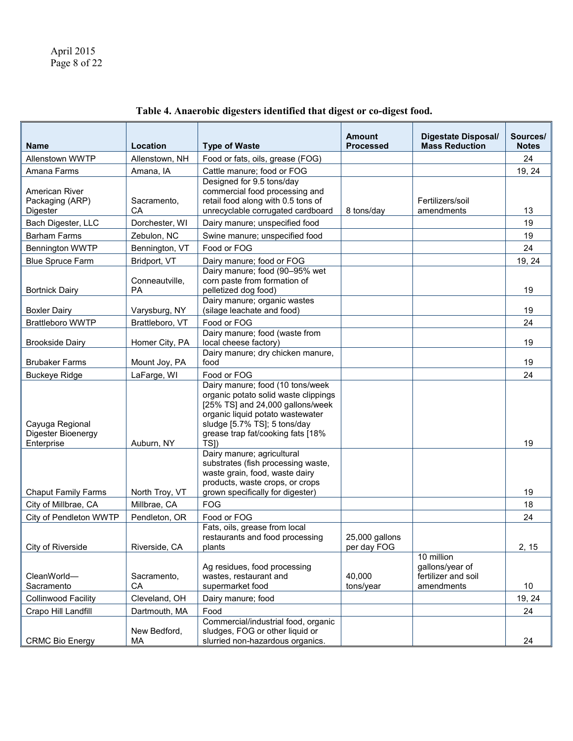| <b>Name</b>                                   | Location                     | <b>Type of Waste</b>                                                                                                                                                                                                   | <b>Amount</b><br><b>Processed</b> | <b>Digestate Disposal/</b><br><b>Mass Reduction</b>                | Sources/<br><b>Notes</b> |
|-----------------------------------------------|------------------------------|------------------------------------------------------------------------------------------------------------------------------------------------------------------------------------------------------------------------|-----------------------------------|--------------------------------------------------------------------|--------------------------|
| Allenstown WWTP                               | Allenstown, NH               | Food or fats, oils, grease (FOG)                                                                                                                                                                                       |                                   |                                                                    | 24                       |
| Amana Farms                                   | Amana, IA                    | Cattle manure; food or FOG                                                                                                                                                                                             |                                   |                                                                    | 19, 24                   |
| American River<br>Packaging (ARP)<br>Digester | Sacramento,<br>CА            | Designed for 9.5 tons/day<br>commercial food processing and<br>retail food along with 0.5 tons of<br>unrecyclable corrugated cardboard                                                                                 | 8 tons/day                        | Fertilizers/soil<br>amendments                                     | 13                       |
| Bach Digester, LLC                            | Dorchester, WI               | Dairy manure; unspecified food                                                                                                                                                                                         |                                   |                                                                    | 19                       |
| <b>Barham Farms</b>                           | Zebulon, NC                  | Swine manure; unspecified food                                                                                                                                                                                         |                                   |                                                                    | 19                       |
| <b>Bennington WWTP</b>                        | Bennington, VT               | Food or FOG                                                                                                                                                                                                            |                                   |                                                                    | 24                       |
| <b>Blue Spruce Farm</b>                       | Bridport, VT                 | Dairy manure; food or FOG                                                                                                                                                                                              |                                   |                                                                    | 19, 24                   |
| <b>Bortnick Dairy</b>                         | Conneautville,<br><b>PA</b>  | Dairy manure; food (90-95% wet<br>corn paste from formation of<br>pelletized dog food)                                                                                                                                 |                                   |                                                                    | 19                       |
| <b>Boxler Dairy</b>                           | Varysburg, NY                | Dairy manure; organic wastes<br>(silage leachate and food)                                                                                                                                                             |                                   |                                                                    | 19                       |
| <b>Brattleboro WWTP</b>                       | Brattleboro, VT              | Food or FOG                                                                                                                                                                                                            |                                   |                                                                    | 24                       |
| <b>Brookside Dairy</b>                        | Homer City, PA               | Dairy manure; food (waste from<br>local cheese factory)                                                                                                                                                                |                                   |                                                                    | 19                       |
| <b>Brubaker Farms</b>                         | Mount Joy, PA                | Dairy manure; dry chicken manure,<br>food                                                                                                                                                                              |                                   |                                                                    | 19                       |
| <b>Buckeye Ridge</b>                          | LaFarge, WI                  | Food or FOG                                                                                                                                                                                                            |                                   |                                                                    | 24                       |
| Cayuga Regional<br>Digester Bioenergy         |                              | Dairy manure; food (10 tons/week)<br>organic potato solid waste clippings<br>[25% TS] and 24,000 gallons/week<br>organic liquid potato wastewater<br>sludge [5.7% TS]; 5 tons/day<br>grease trap fat/cooking fats [18% |                                   |                                                                    |                          |
| Enterprise<br><b>Chaput Family Farms</b>      | Auburn, NY<br>North Troy, VT | TSI)<br>Dairy manure; agricultural<br>substrates (fish processing waste,<br>waste grain, food, waste dairy<br>products, waste crops, or crops<br>grown specifically for digester)                                      |                                   |                                                                    | 19<br>19                 |
| City of Millbrae, CA                          | Millbrae, CA                 | <b>FOG</b>                                                                                                                                                                                                             |                                   |                                                                    | 18                       |
| City of Pendleton WWTP                        | Pendleton, OR                | Food or FOG                                                                                                                                                                                                            |                                   |                                                                    | 24                       |
| City of Riverside                             | Riverside, CA                | Fats, oils, grease from local<br>restaurants and food processing<br>plants                                                                                                                                             | 25,000 gallons<br>per day FOG     |                                                                    | 2, 15                    |
| CleanWorld-<br>Sacramento                     | Sacramento,<br>CA            | Ag residues, food processing<br>wastes, restaurant and<br>supermarket food                                                                                                                                             | 40,000<br>tons/year               | 10 million<br>gallons/year of<br>fertilizer and soil<br>amendments | 10                       |
| <b>Collinwood Facility</b>                    | Cleveland, OH                | Dairy manure; food                                                                                                                                                                                                     |                                   |                                                                    | 19, 24                   |
| Crapo Hill Landfill                           | Dartmouth, MA                | Food                                                                                                                                                                                                                   |                                   |                                                                    | 24                       |
| <b>CRMC Bio Energy</b>                        | New Bedford,<br>МA           | Commercial/industrial food, organic<br>sludges, FOG or other liquid or<br>slurried non-hazardous organics.                                                                                                             |                                   |                                                                    | 24                       |

# **Table 4. Anaerobic digesters identified that digest or co-digest food.**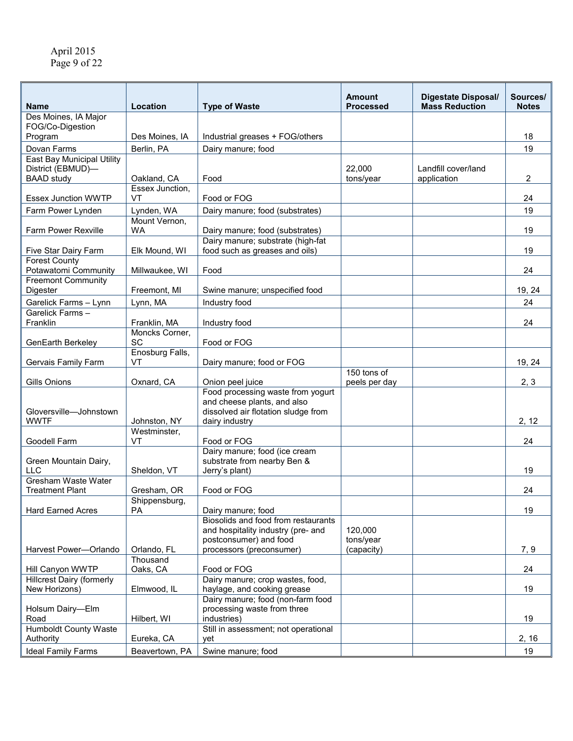| <b>Name</b>                                                                 | Location                   | <b>Type of Waste</b>                                                                                                      | <b>Amount</b><br><b>Processed</b> | <b>Digestate Disposal/</b><br><b>Mass Reduction</b> | Sources/<br><b>Notes</b> |
|-----------------------------------------------------------------------------|----------------------------|---------------------------------------------------------------------------------------------------------------------------|-----------------------------------|-----------------------------------------------------|--------------------------|
| Des Moines, IA Major                                                        |                            |                                                                                                                           |                                   |                                                     |                          |
| FOG/Co-Digestion                                                            |                            |                                                                                                                           |                                   |                                                     |                          |
| Program                                                                     | Des Moines, IA             | Industrial greases + FOG/others                                                                                           |                                   |                                                     | 18                       |
| Dovan Farms                                                                 | Berlin, PA                 | Dairy manure; food                                                                                                        |                                   |                                                     | 19                       |
| <b>East Bay Municipal Utility</b><br>District (EBMUD)-<br><b>BAAD study</b> | Oakland, CA                | Food                                                                                                                      | 22,000<br>tons/year               | Landfill cover/land<br>application                  | 2                        |
| <b>Essex Junction WWTP</b>                                                  | Essex Junction,<br>VT      | Food or FOG                                                                                                               |                                   |                                                     | 24                       |
| Farm Power Lynden                                                           | Lynden, WA                 | Dairy manure; food (substrates)                                                                                           |                                   |                                                     | 19                       |
|                                                                             | Mount Vernon,              |                                                                                                                           |                                   |                                                     |                          |
| Farm Power Rexville                                                         | <b>WA</b>                  | Dairy manure; food (substrates)<br>Dairy manure; substrate (high-fat                                                      |                                   |                                                     | 19                       |
| Five Star Dairy Farm                                                        | Elk Mound, WI              | food such as greases and oils)                                                                                            |                                   |                                                     | 19                       |
| <b>Forest County</b><br>Potawatomi Community                                | Millwaukee, WI             | Food                                                                                                                      |                                   |                                                     | 24                       |
| <b>Freemont Community</b><br>Digester                                       | Freemont, MI               | Swine manure; unspecified food                                                                                            |                                   |                                                     | 19, 24                   |
| Garelick Farms - Lynn                                                       | Lynn, MA                   | Industry food                                                                                                             |                                   |                                                     | 24                       |
| Garelick Farms-                                                             |                            |                                                                                                                           |                                   |                                                     |                          |
| Franklin                                                                    | Franklin, MA               | Industry food                                                                                                             |                                   |                                                     | 24                       |
| GenEarth Berkeley                                                           | Moncks Corner,<br>SC       | Food or FOG                                                                                                               |                                   |                                                     |                          |
| Gervais Family Farm                                                         | Enosburg Falls,<br>VT      | Dairy manure; food or FOG                                                                                                 |                                   |                                                     | 19, 24                   |
|                                                                             |                            |                                                                                                                           | 150 tons of                       |                                                     |                          |
| Gills Onions                                                                | Oxnard, CA                 | Onion peel juice                                                                                                          | peels per day                     |                                                     | 2, 3                     |
| Gloversville-Johnstown<br><b>WWTF</b>                                       | Johnston, NY               | Food processing waste from yogurt<br>and cheese plants, and also<br>dissolved air flotation sludge from<br>dairy industry |                                   |                                                     | 2, 12                    |
| Goodell Farm                                                                | Westminster,<br>VT         | Food or FOG                                                                                                               |                                   |                                                     | 24                       |
| Green Mountain Dairy,<br><b>LLC</b>                                         | Sheldon, VT                | Dairy manure; food (ice cream<br>substrate from nearby Ben &<br>Jerry's plant)                                            |                                   |                                                     | 19                       |
| Gresham Waste Water                                                         |                            |                                                                                                                           |                                   |                                                     |                          |
| <b>Treatment Plant</b>                                                      | Gresham, OR                | Food or FOG                                                                                                               |                                   |                                                     | 24                       |
| Hard Earned Acres                                                           | Shippensburg,<br><b>PA</b> | Dairy manure; food                                                                                                        |                                   |                                                     | 19                       |
|                                                                             |                            | Biosolids and food from restaurants<br>and hospitality industry (pre- and<br>postconsumer) and food                       | 120,000<br>tons/year              |                                                     |                          |
| Harvest Power-Orlando                                                       | Orlando, FL                | processors (preconsumer)                                                                                                  | (capacity)                        |                                                     | 7, 9                     |
| Hill Canyon WWTP                                                            | Thousand<br>Oaks, CA       | Food or FOG                                                                                                               |                                   |                                                     | 24                       |
| <b>Hillcrest Dairy (formerly</b>                                            |                            | Dairy manure; crop wastes, food,                                                                                          |                                   |                                                     |                          |
| New Horizons)                                                               | Elmwood, IL                | haylage, and cooking grease                                                                                               |                                   |                                                     | 19                       |
| Holsum Dairy-Elm                                                            |                            | Dairy manure; food (non-farm food<br>processing waste from three                                                          |                                   |                                                     |                          |
| Road                                                                        | Hilbert, WI                | industries)                                                                                                               |                                   |                                                     | 19                       |
| <b>Humboldt County Waste</b><br>Authority                                   | Eureka, CA                 | Still in assessment; not operational<br>yet                                                                               |                                   |                                                     | 2, 16                    |
| <b>Ideal Family Farms</b>                                                   | Beavertown, PA             | Swine manure; food                                                                                                        |                                   |                                                     | 19                       |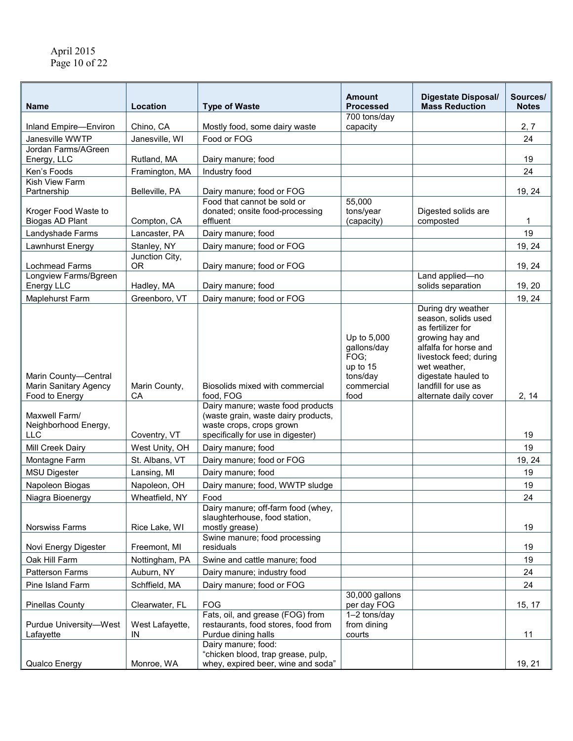| <b>Name</b>                                         | Location                      | <b>Type of Waste</b>                                                                                                                      | <b>Amount</b><br>Processed                                               | <b>Digestate Disposal/</b><br><b>Mass Reduction</b>                                                                                                                          | Sources/<br><b>Notes</b> |
|-----------------------------------------------------|-------------------------------|-------------------------------------------------------------------------------------------------------------------------------------------|--------------------------------------------------------------------------|------------------------------------------------------------------------------------------------------------------------------------------------------------------------------|--------------------------|
| Inland Empire-Environ                               | Chino, CA                     | Mostly food, some dairy waste                                                                                                             | 700 tons/day<br>capacity                                                 |                                                                                                                                                                              | 2, 7                     |
| Janesville WWTP                                     | Janesville, WI                | Food or FOG                                                                                                                               |                                                                          |                                                                                                                                                                              | 24                       |
| Jordan Farms/AGreen                                 |                               |                                                                                                                                           |                                                                          |                                                                                                                                                                              |                          |
| Energy, LLC                                         | Rutland, MA                   | Dairy manure; food                                                                                                                        |                                                                          |                                                                                                                                                                              | 19                       |
| Ken's Foods                                         | Framington, MA                | Industry food                                                                                                                             |                                                                          |                                                                                                                                                                              | 24                       |
| Kish View Farm<br>Partnership                       | Belleville, PA                | Dairy manure; food or FOG                                                                                                                 |                                                                          |                                                                                                                                                                              | 19, 24                   |
| Kroger Food Waste to                                |                               | Food that cannot be sold or<br>donated; onsite food-processing<br>effluent                                                                | 55,000<br>tons/year                                                      | Digested solids are                                                                                                                                                          |                          |
| <b>Biogas AD Plant</b>                              | Compton, CA                   |                                                                                                                                           | (capacity)                                                               | composted                                                                                                                                                                    | 1                        |
| Landyshade Farms                                    | Lancaster, PA                 | Dairy manure; food                                                                                                                        |                                                                          |                                                                                                                                                                              | 19                       |
| Lawnhurst Energy                                    | Stanley, NY<br>Junction City, | Dairy manure; food or FOG                                                                                                                 |                                                                          |                                                                                                                                                                              | 19, 24                   |
| Lochmead Farms                                      | <b>OR</b>                     | Dairy manure; food or FOG                                                                                                                 |                                                                          |                                                                                                                                                                              | 19, 24                   |
| Longview Farms/Bgreen                               |                               |                                                                                                                                           |                                                                          | Land applied-no                                                                                                                                                              |                          |
| Energy LLC                                          | Hadley, MA                    | Dairy manure; food                                                                                                                        |                                                                          | solids separation                                                                                                                                                            | 19, 20                   |
| Maplehurst Farm                                     | Greenboro, VT                 | Dairy manure; food or FOG                                                                                                                 |                                                                          | During dry weather                                                                                                                                                           | 19, 24                   |
| Marin County-Central<br>Marin Sanitary Agency       | Marin County,                 | Biosolids mixed with commercial                                                                                                           | Up to 5,000<br>gallons/day<br>FOG;<br>up to 15<br>tons/day<br>commercial | season, solids used<br>as fertilizer for<br>growing hay and<br>alfalfa for horse and<br>livestock feed; during<br>wet weather,<br>digestate hauled to<br>landfill for use as |                          |
| Food to Energy                                      | CA                            | food, FOG                                                                                                                                 | food                                                                     | alternate daily cover                                                                                                                                                        | 2, 14                    |
| Maxwell Farm/<br>Neighborhood Energy,<br><b>LLC</b> | Coventry, VT                  | Dairy manure; waste food products<br>(waste grain, waste dairy products,<br>waste crops, crops grown<br>specifically for use in digester) |                                                                          |                                                                                                                                                                              | 19                       |
| Mill Creek Dairy                                    | West Unity, OH                | Dairy manure; food                                                                                                                        |                                                                          |                                                                                                                                                                              | 19                       |
| Montagne Farm                                       | St. Albans, VT                | Dairy manure; food or FOG                                                                                                                 |                                                                          |                                                                                                                                                                              | 19, 24                   |
| <b>MSU Digester</b>                                 | Lansing, MI                   | Dairy manure; food                                                                                                                        |                                                                          |                                                                                                                                                                              | 19                       |
| Napoleon Biogas                                     | Napoleon, OH                  | Dairy manure; food, WWTP sludge                                                                                                           |                                                                          |                                                                                                                                                                              | 19                       |
| Niagra Bioenergy                                    | Wheatfield, NY                | Food                                                                                                                                      |                                                                          |                                                                                                                                                                              | 24                       |
| <b>Norswiss Farms</b>                               | Rice Lake, WI                 | Dairy manure; off-farm food (whey,<br>slaughterhouse, food station,<br>mostly grease)                                                     |                                                                          |                                                                                                                                                                              | 19                       |
| Novi Energy Digester                                | Freemont, MI                  | Swine manure; food processing<br>residuals                                                                                                |                                                                          |                                                                                                                                                                              | 19                       |
| Oak Hill Farm                                       | Nottingham, PA                | Swine and cattle manure; food                                                                                                             |                                                                          |                                                                                                                                                                              | 19                       |
| Patterson Farms                                     | Auburn, NY                    | Dairy manure; industry food                                                                                                               |                                                                          |                                                                                                                                                                              | 24                       |
| Pine Island Farm                                    | Schffield, MA                 | Dairy manure; food or FOG                                                                                                                 |                                                                          |                                                                                                                                                                              | 24                       |
| <b>Pinellas County</b>                              | Clearwater, FL                | <b>FOG</b>                                                                                                                                | 30,000 gallons<br>per day FOG                                            |                                                                                                                                                                              | 15, 17                   |
| Purdue University-West<br>Lafayette                 | West Lafayette,<br>IN         | Fats, oil, and grease (FOG) from<br>restaurants, food stores, food from<br>Purdue dining halls                                            | 1-2 tons/day<br>from dining<br>courts                                    |                                                                                                                                                                              | 11                       |
| Qualco Energy                                       | Monroe, WA                    | Dairy manure; food:<br>"chicken blood, trap grease, pulp,<br>whey, expired beer, wine and soda"                                           |                                                                          |                                                                                                                                                                              | 19, 21                   |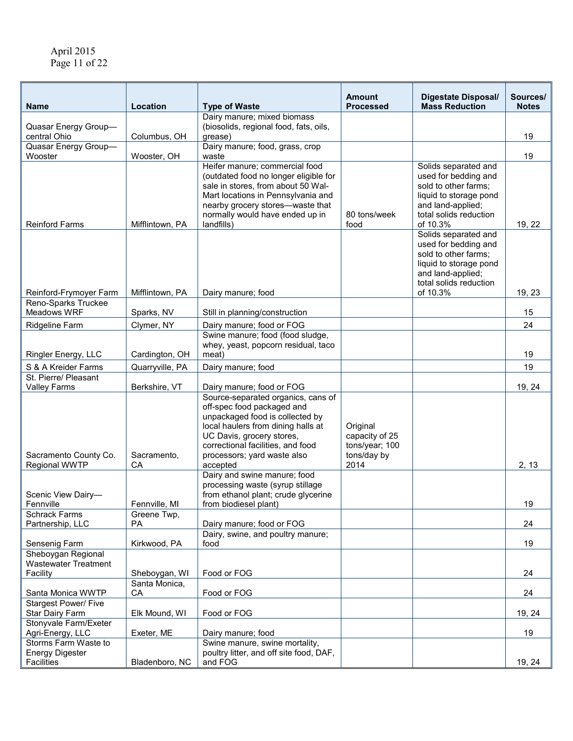| <b>Name</b>                                                   | Location          | <b>Type of Waste</b>                                                                                                                                                                                                                                   | <b>Amount</b><br><b>Processed</b>                                   | <b>Digestate Disposal/</b><br><b>Mass Reduction</b>                                                                                                       | Sources/<br><b>Notes</b> |
|---------------------------------------------------------------|-------------------|--------------------------------------------------------------------------------------------------------------------------------------------------------------------------------------------------------------------------------------------------------|---------------------------------------------------------------------|-----------------------------------------------------------------------------------------------------------------------------------------------------------|--------------------------|
| Quasar Energy Group-<br>central Ohio                          |                   | Dairy manure; mixed biomass<br>(biosolids, regional food, fats, oils,                                                                                                                                                                                  |                                                                     |                                                                                                                                                           |                          |
| Quasar Energy Group-                                          | Columbus, OH      | grease)<br>Dairy manure; food, grass, crop                                                                                                                                                                                                             |                                                                     |                                                                                                                                                           | 19                       |
| Wooster                                                       | Wooster, OH       | waste                                                                                                                                                                                                                                                  |                                                                     |                                                                                                                                                           | 19                       |
| <b>Reinford Farms</b>                                         | Mifflintown, PA   | Heifer manure; commercial food<br>(outdated food no longer eligible for<br>sale in stores, from about 50 Wal-<br>Mart locations in Pennsylvania and<br>nearby grocery stores--waste that<br>normally would have ended up in<br>landfills)              | 80 tons/week<br>food                                                | Solids separated and<br>used for bedding and<br>sold to other farms;<br>liquid to storage pond<br>and land-applied;<br>total solids reduction<br>of 10.3% | 19, 22                   |
| Reinford-Frymoyer Farm                                        | Mifflintown, PA   | Dairy manure; food                                                                                                                                                                                                                                     |                                                                     | Solids separated and<br>used for bedding and<br>sold to other farms;<br>liquid to storage pond<br>and land-applied;<br>total solids reduction<br>of 10.3% | 19, 23                   |
| Reno-Sparks Truckee<br>Meadows WRF                            | Sparks, NV        | Still in planning/construction                                                                                                                                                                                                                         |                                                                     |                                                                                                                                                           | 15                       |
| <b>Ridgeline Farm</b>                                         | Clymer, NY        | Dairy manure; food or FOG                                                                                                                                                                                                                              |                                                                     |                                                                                                                                                           | 24                       |
| Ringler Energy, LLC                                           | Cardington, OH    | Swine manure; food (food sludge,<br>whey, yeast, popcorn residual, taco<br>meat)                                                                                                                                                                       |                                                                     |                                                                                                                                                           | 19                       |
| S & A Kreider Farms                                           | Quarryville, PA   | Dairy manure; food                                                                                                                                                                                                                                     |                                                                     |                                                                                                                                                           | 19                       |
| St. Pierre/ Pleasant                                          |                   |                                                                                                                                                                                                                                                        |                                                                     |                                                                                                                                                           |                          |
| <b>Valley Farms</b>                                           | Berkshire, VT     | Dairy manure; food or FOG                                                                                                                                                                                                                              |                                                                     |                                                                                                                                                           | 19, 24                   |
| Sacramento County Co.<br><b>Regional WWTP</b>                 | Sacramento,<br>CA | Source-separated organics, cans of<br>off-spec food packaged and<br>unpackaged food is collected by<br>local haulers from dining halls at<br>UC Davis, grocery stores,<br>correctional facilities, and food<br>processors; yard waste also<br>accepted | Original<br>capacity of 25<br>tons/year; 100<br>tons/day by<br>2014 |                                                                                                                                                           | 2, 13                    |
| Scenic View Dairy-<br>Fennville                               | Fennville, MI     | Dairy and swine manure; food<br>processing waste (syrup stillage<br>from ethanol plant; crude glycerine<br>from biodiesel plant)                                                                                                                       |                                                                     |                                                                                                                                                           | 19                       |
| <b>Schrack Farms</b>                                          | Greene Twp.       |                                                                                                                                                                                                                                                        |                                                                     |                                                                                                                                                           |                          |
| Partnership, LLC                                              | <b>PA</b>         | Dairy manure; food or FOG<br>Dairy, swine, and poultry manure;                                                                                                                                                                                         |                                                                     |                                                                                                                                                           | 24                       |
| Sensenig Farm                                                 | Kirkwood, PA      | food                                                                                                                                                                                                                                                   |                                                                     |                                                                                                                                                           | 19                       |
| Sheboygan Regional<br><b>Wastewater Treatment</b><br>Facility | Sheboygan, WI     | Food or FOG                                                                                                                                                                                                                                            |                                                                     |                                                                                                                                                           | 24                       |
|                                                               | Santa Monica,     |                                                                                                                                                                                                                                                        |                                                                     |                                                                                                                                                           |                          |
| Santa Monica WWTP                                             | СA                | Food or FOG                                                                                                                                                                                                                                            |                                                                     |                                                                                                                                                           | 24                       |
| <b>Stargest Power/ Five</b><br>Star Dairy Farm                | Elk Mound, WI     | Food or FOG                                                                                                                                                                                                                                            |                                                                     |                                                                                                                                                           | 19, 24                   |
| Stonyvale Farm/Exeter<br>Agri-Energy, LLC                     | Exeter, ME        | Dairy manure; food                                                                                                                                                                                                                                     |                                                                     |                                                                                                                                                           | 19                       |
| Storms Farm Waste to<br><b>Energy Digester</b><br>Facilities  | Bladenboro, NC    | Swine manure, swine mortality,<br>poultry litter, and off site food, DAF,<br>and FOG                                                                                                                                                                   |                                                                     |                                                                                                                                                           | 19, 24                   |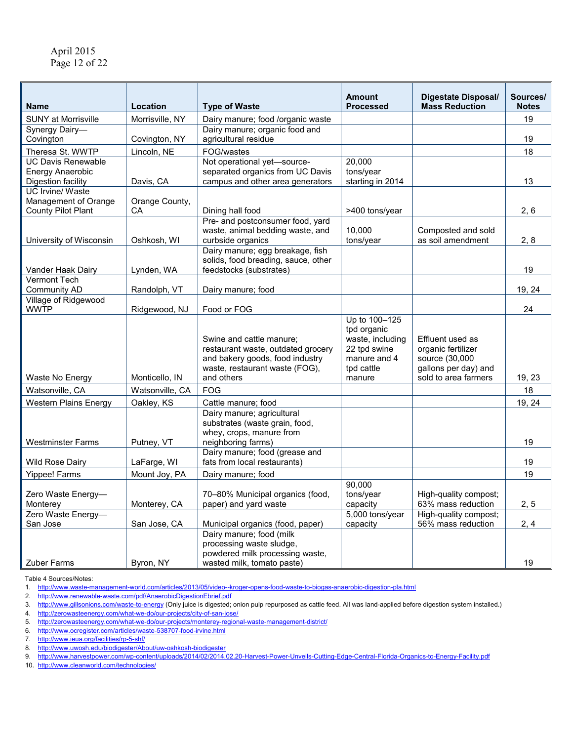|                                               |                             |                                                                         | <b>Amount</b>        | <b>Digestate Disposal/</b>                   | Sources/           |
|-----------------------------------------------|-----------------------------|-------------------------------------------------------------------------|----------------------|----------------------------------------------|--------------------|
| <b>Name</b><br><b>SUNY at Morrisville</b>     | Location<br>Morrisville, NY | <b>Type of Waste</b>                                                    | <b>Processed</b>     | <b>Mass Reduction</b>                        | <b>Notes</b><br>19 |
| Synergy Dairy-                                |                             | Dairy manure; food /organic waste<br>Dairy manure; organic food and     |                      |                                              |                    |
| Covington                                     | Covington, NY               | agricultural residue                                                    |                      |                                              | 19                 |
| Theresa St. WWTP                              | Lincoln, NE                 | FOG/wastes                                                              |                      |                                              | 18                 |
| <b>UC Davis Renewable</b>                     |                             | Not operational yet-source-                                             | 20,000               |                                              |                    |
| Energy Anaerobic                              |                             | separated organics from UC Davis                                        | tons/year            |                                              |                    |
| Digestion facility<br><b>UC Irvine/ Waste</b> | Davis, CA                   | campus and other area generators                                        | starting in 2014     |                                              | 13                 |
| Management of Orange                          | Orange County,              |                                                                         |                      |                                              |                    |
| <b>County Pilot Plant</b>                     | CA                          | Dining hall food                                                        | >400 tons/year       |                                              | 2, 6               |
|                                               |                             | Pre- and postconsumer food, yard                                        |                      |                                              |                    |
|                                               |                             | waste, animal bedding waste, and                                        | 10,000               | Composted and sold                           |                    |
| University of Wisconsin                       | Oshkosh, WI                 | curbside organics                                                       | tons/year            | as soil amendment                            | 2, 8               |
|                                               |                             | Dairy manure; egg breakage, fish<br>solids, food breading, sauce, other |                      |                                              |                    |
| Vander Haak Dairy                             | Lynden, WA                  | feedstocks (substrates)                                                 |                      |                                              | 19                 |
| Vermont Tech                                  |                             |                                                                         |                      |                                              |                    |
| <b>Community AD</b>                           | Randolph, VT                | Dairy manure; food                                                      |                      |                                              | 19, 24             |
| Village of Ridgewood                          |                             |                                                                         |                      |                                              |                    |
| <b>WWTP</b>                                   | Ridgewood, NJ               | Food or FOG                                                             | Up to 100-125        |                                              | 24                 |
|                                               |                             |                                                                         | tpd organic          |                                              |                    |
|                                               |                             | Swine and cattle manure;                                                | waste, including     | Effluent used as                             |                    |
|                                               |                             | restaurant waste, outdated grocery                                      | 22 tpd swine         | organic fertilizer                           |                    |
|                                               |                             | and bakery goods, food industry                                         | manure and 4         | source (30,000                               |                    |
| Waste No Energy                               | Monticello, IN              | waste, restaurant waste (FOG),<br>and others                            | tpd cattle<br>manure | gallons per day) and<br>sold to area farmers | 19, 23             |
|                                               | Watsonville, CA             | <b>FOG</b>                                                              |                      |                                              | 18                 |
| Watsonville, CA                               |                             |                                                                         |                      |                                              |                    |
| <b>Western Plains Energy</b>                  | Oakley, KS                  | Cattle manure; food<br>Dairy manure; agricultural                       |                      |                                              | 19, 24             |
|                                               |                             | substrates (waste grain, food,                                          |                      |                                              |                    |
|                                               |                             | whey, crops, manure from                                                |                      |                                              |                    |
| <b>Westminster Farms</b>                      | Putney, VT                  | neighboring farms)                                                      |                      |                                              | 19                 |
| <b>Wild Rose Dairy</b>                        | LaFarge, WI                 | Dairy manure; food (grease and<br>fats from local restaurants)          |                      |                                              | 19                 |
|                                               |                             |                                                                         |                      |                                              | 19                 |
| Yippee! Farms                                 | Mount Joy, PA               | Dairy manure; food                                                      | 90,000               |                                              |                    |
| Zero Waste Energy-                            |                             | 70-80% Municipal organics (food,                                        | tons/year            | High-quality compost;                        |                    |
| Monterey                                      | Monterey, CA                | paper) and yard waste                                                   | capacity             | 63% mass reduction                           | 2, 5               |
| Zero Waste Energy-                            |                             |                                                                         | 5,000 tons/year      | High-quality compost;                        |                    |
| San Jose                                      | San Jose, CA                | Municipal organics (food, paper)                                        | capacity             | 56% mass reduction                           | 2, 4               |
|                                               |                             | Dairy manure; food (milk<br>processing waste sludge,                    |                      |                                              |                    |
|                                               |                             | powdered milk processing waste,                                         |                      |                                              |                    |
| <b>Zuber Farms</b>                            | Byron, NY                   | wasted milk, tomato paste)                                              |                      |                                              | 19                 |

Table 4 Sources/Notes:

2. <http://www.renewable-waste.com/pdf/AnaerobicDigestionEbrief.pdf>

4. <http://zerowasteenergy.com/what-we-do/our-projects/city-of-san-jose/>

- 6. <http://www.ocregister.com/articles/waste-538707-food-irvine.html>
- 7. <http://www.ieua.org/facilities/rp-5-shf/>
- 8. <u><http://www.uwosh.edu/biodigester/About/uw-oshkosh-biodigester></u>
- 9. <http://www.harvestpower.com/wp-content/uploads/2014/02/2014.02.20-Harvest-Power-Unveils-Cutting-Edge-Central-Florida-Organics-to-Energy-Facility.pdf>

10. <http://www.cleanworld.com/technologies/>

<sup>1.</sup> <http://www.waste-management-world.com/articles/2013/05/video--kroger-opens-food-waste-to-biogas-anaerobic-digestion-pla.html>

<sup>3.</sup> <http://www.gillsonions.com/waste-to-energy> (Only juice is digested; onion pulp repurposed as cattle feed. All was land-applied before digestion system installed.)

<sup>5.</sup> <http://zerowasteenergy.com/what-we-do/our-projects/monterey-regional-waste-management-district/>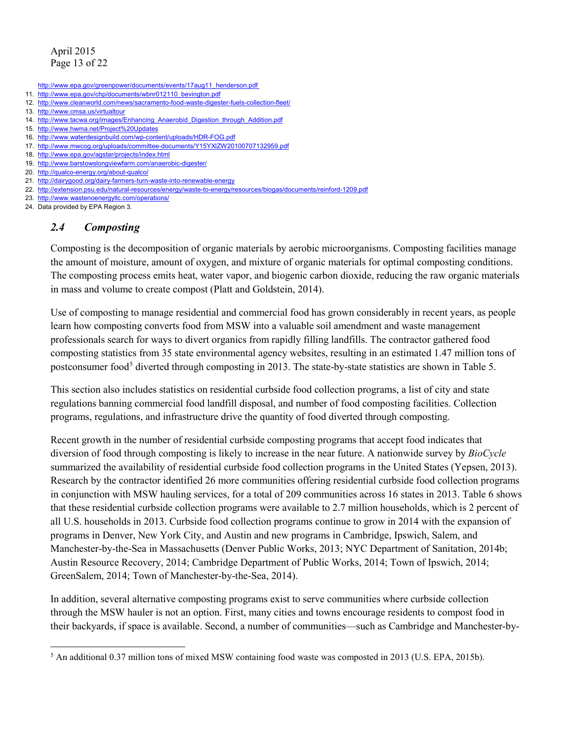- http://www.epa.gov/greenpower/documents/events/17aug11\_henderson.pdf
- 11. [http://www.epa.gov/chp/documents/wbnr012110\\_bevington.pdf](http://www.epa.gov/chp/documents/wbnr012110_bevington.pdf)
- 12. <http://www.cleanworld.com/news/sacramento-food-waste-digester-fuels-collection-fleet/>
- 13. <http://www.cmsa.us/virtualtour>
- 14. [http://www.tacwa.org/images/Enhancing\\_Anaerobid\\_Digestion\\_through\\_Addition.pdf](http://www.tacwa.org/images/Enhancing_Anaerobid_Digestion_through_Addition.pdf)
- 15. <http://www.hwma.net/Project%20Updates>
- 16. <http://www.waterdesignbuild.com/wp-content/uploads/HDR-FOG.pdf>
- 17. <http://www.mwcog.org/uploads/committee-documents/Y15YXlZW20100707132959.pdf>
- 18. <http://www.epa.gov/agstar/projects/index.html> 19. <http://www.barstowslongviewfarm.com/anaerobic-digester/>
- 20. <http://qualco-energy.org/about-qualco/>
- 21. <http://dairygood.org/dairy-farmers-turn-waste-into-renewable-energy>
- 22. <http://extension.psu.edu/natural-resources/energy/waste-to-energy/resources/biogas/documents/reinford-1209.pdf>
- 23. <http://www.wastenoenergyllc.com/operations/>
- 24. Data provided by EPA Region 3.

## *2.4 Composting*

Composting is the decomposition of organic materials by aerobic microorganisms. Composting facilities manage the amount of moisture, amount of oxygen, and mixture of organic materials for optimal composting conditions. The composting process emits heat, water vapor, and biogenic carbon dioxide, reducing the raw organic materials in mass and volume to create compost (Platt and Goldstein, 2014).

Use of composting to manage residential and commercial food has grown considerably in recent years, as people learn how composting converts food from MSW into a valuable soil amendment and waste management professionals search for ways to divert organics from rapidly filling landfills. The contractor gathered food composting statistics from 35 state environmental agency websites, resulting in an estimated 1.47 million tons of postconsumer food<sup>5</sup> diverted through composting in 2013. The state-by-state statistics are shown in Table 5.

This section also includes statistics on residential curbside food collection programs, a list of city and state regulations banning commercial food landfill disposal, and number of food composting facilities. Collection programs, regulations, and infrastructure drive the quantity of food diverted through composting.

Recent growth in the number of residential curbside composting programs that accept food indicates that diversion of food through composting is likely to increase in the near future. A nationwide survey by *BioCycle* summarized the availability of residential curbside food collection programs in the United States (Yepsen, 2013). Research by the contractor identified 26 more communities offering residential curbside food collection programs in conjunction with MSW hauling services, for a total of 209 communities across 16 states in 2013. Table 6 shows that these residential curbside collection programs were available to 2.7 million households, which is 2 percent of all U.S. households in 2013. Curbside food collection programs continue to grow in 2014 with the expansion of programs in Denver, New York City, and Austin and new programs in Cambridge, Ipswich, Salem, and Manchester-by-the-Sea in Massachusetts (Denver Public Works, 2013; NYC Department of Sanitation, 2014b; Austin Resource Recovery, 2014; Cambridge Department of Public Works, 2014; Town of Ipswich, 2014; GreenSalem, 2014; Town of Manchester-by-the-Sea, 2014).

In addition, several alternative composting programs exist to serve communities where curbside collection through the MSW hauler is not an option. First, many cities and towns encourage residents to compost food in their backyards, if space is available. Second, a number of communities—such as Cambridge and Manchester-by-

<span id="page-12-0"></span>l <sup>5</sup> An additional 0.37 million tons of mixed MSW containing food waste was composted in 2013 (U.S. EPA, 2015b).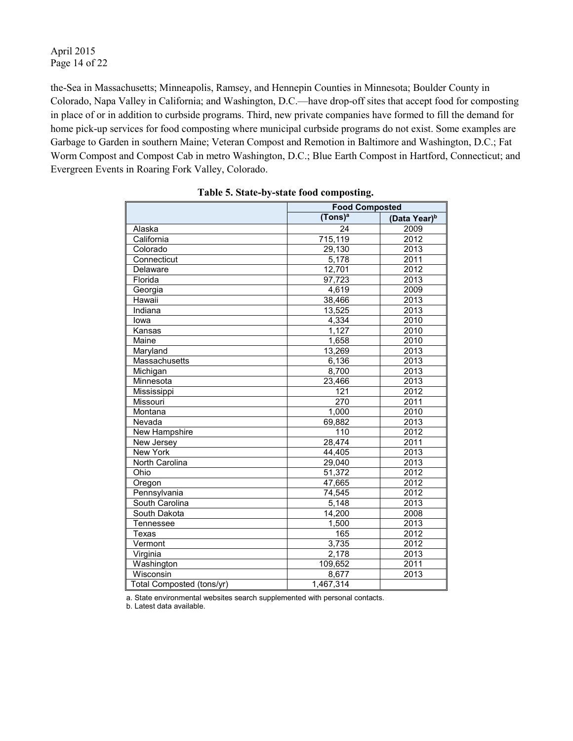#### April 2015 Page 14 of 22

the-Sea in Massachusetts; Minneapolis, Ramsey, and Hennepin Counties in Minnesota; Boulder County in Colorado, Napa Valley in California; and Washington, D.C.—have drop-off sites that accept food for composting in place of or in addition to curbside programs. Third, new private companies have formed to fill the demand for home pick-up services for food composting where municipal curbside programs do not exist. Some examples are Garbage to Garden in southern Maine; Veteran Compost and Remotion in Baltimore and Washington, D.C.; Fat Worm Compost and Compost Cab in metro Washington, D.C.; Blue Earth Compost in Hartford, Connecticut; and Evergreen Events in Roaring Fork Valley, Colorado.

|                           | <b>Food Composted</b> |                          |
|---------------------------|-----------------------|--------------------------|
|                           | (Tons) <sup>a</sup>   | (Data Year) <sup>b</sup> |
| Alaska                    | 24                    | 2009                     |
| California                | 715,119               | 2012                     |
| Colorado                  | 29,130                | 2013                     |
| Connecticut               | 5,178                 | 2011                     |
| Delaware                  | 12,701                | 2012                     |
| Florida                   | $\overline{97,723}$   | 2013                     |
| Georgia                   | 4,619                 | 2009                     |
| Hawaii                    | 38,466                | 2013                     |
| Indiana                   | 13,525                | 2013                     |
| lowa                      | 4,334                 | 2010                     |
| Kansas                    | 1,127                 | 2010                     |
| Maine                     | 1,658                 | 2010                     |
| Maryland                  | 13,269                | 2013                     |
| Massachusetts             | 6,136                 | 2013                     |
| Michigan                  | 8,700                 | 2013                     |
| Minnesota                 | 23,466                | 2013                     |
| Mississippi               | 121                   | 2012                     |
| Missouri                  | 270                   | 2011                     |
| Montana                   | 1,000                 | 2010                     |
| Nevada                    | 69,882                | 2013                     |
| New Hampshire             | 110                   | 2012                     |
| New Jersey                | 28,474                | 2011                     |
| New York                  | 44,405                | 2013                     |
| North Carolina            | 29,040                | 2013                     |
| Ohio                      | 51,372                | 2012                     |
| Oregon                    | 47,665                | 2012                     |
| Pennsylvania              | 74,545                | 2012                     |
| South Carolina            | 5,148                 | 2013                     |
| South Dakota              | 14,200                | 2008                     |
| Tennessee                 | 1,500                 | 2013                     |
| Texas                     | 165                   | 2012                     |
| Vermont                   | 3,735                 | 2012                     |
| Virginia                  | 2,178                 | 2013                     |
| Washington                | 109,652               | 2011                     |
| Wisconsin                 | 8,677                 | 2013                     |
| Total Composted (tons/yr) | 1,467,314             |                          |

a. State environmental websites search supplemented with personal contacts.

b. Latest data available.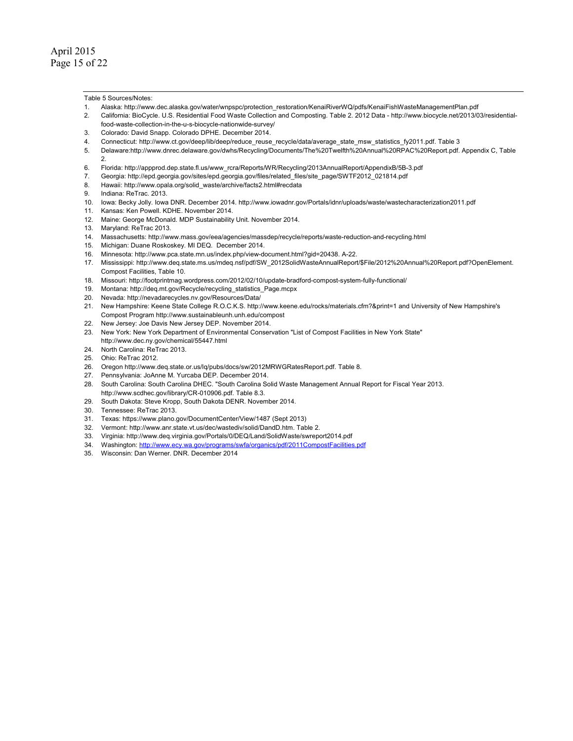Table 5 Sources/Notes:

- 1. Alaska: [http://www.dec.alaska.gov/water/wnpspc/protection\\_restoration/KenaiRiverWQ/pdfs/KenaiFishWasteManagementPlan.pdf](http://www.dec.alaska.gov/water/wnpspc/protection_restoration/KenaiRiverWQ/pdfs/KenaiFishWasteManagementPlan.pdf)
- 2. California: BioCycle. U.S. Residential Food Waste Collection and Composting. Table 2. 2012 Data [http://www.biocycle.net/2013/03/residential](http://www.biocycle.net/2013/03/residential-food-waste-collection-in-the-u-s-biocycle-nationwide-survey/)[food-waste-collection-in-the-u-s-biocycle-nationwide-survey/](http://www.biocycle.net/2013/03/residential-food-waste-collection-in-the-u-s-biocycle-nationwide-survey/)
- 3. Colorado: David Snapp. Colorado DPHE. December 2014.
- 4. Connecticut: [http://www.ct.gov/deep/lib/deep/reduce\\_reuse\\_recycle/data/average\\_state\\_msw\\_statistics\\_fy2011.pdf. Ta](http://www.ct.gov/deep/lib/deep/reduce_reuse_recycle/data/average_state_msw_statistics_fy2011.pdf)ble 3
- 5. Delaware[:http://www.dnrec.delaware.gov/dwhs/Recycling/Documents/The%20Twelfth%20Annual%20RPAC%20Report.pdf. Ap](http://www.dnrec.delaware.gov/dwhs/Recycling/Documents/The%20Twelfth%20Annual%20RPAC%20Report.pdf)pendix C, Table  $\mathcal{D}$
- 6. Florida: [http://appprod.dep.state.fl.us/www\\_rcra/Reports/WR/Recycling/2013AnnualReport/AppendixB/5B-3.pdf](http://appprod.dep.state.fl.us/www_rcra/Reports/WR/Recycling/2013AnnualReport/AppendixB/5B-3.pdf)
- 7. Georgia: [http://epd.georgia.gov/sites/epd.georgia.gov/files/related\\_files/site\\_page/SWTF2012\\_021814.pdf](http://epd.georgia.gov/sites/epd.georgia.gov/files/related_files/site_page/SWTF2012_021814.pdf)
- 8. Hawaii: [http://www.opala.org/solid\\_waste/archive/facts2.html#recdata](http://www.opala.org/solid_waste/archive/facts2.html#recdata)
- 9. Indiana: ReTrac. 2013.
- 10. Iowa: Becky Jolly. Iowa DNR. December 2014. <http://www.iowadnr.gov/Portals/idnr/uploads/waste/wastecharacterization2011.pdf>
- 11. Kansas: Ken Powell. KDHE. November 2014.
- 12. Maine: George McDonald. MDP Sustainability Unit. November 2014.
- 13. Maryland: ReTrac 2013.
- 14. Massachusetts: <http://www.mass.gov/eea/agencies/massdep/recycle/reports/waste-reduction-and-recycling.html>
- 15. Michigan: Duane Roskoskey. MI DEQ. December 2014.
- 16. Minnesota: [http://www.pca.state.mn.us/index.php/view-document.html?gid=20438. A](http://www.pca.state.mn.us/index.php/view-document.html?gid=20438)-22.
- 17. Mississippi: [http://www.deq.state.ms.us/mdeq.nsf/pdf/SW\\_2012SolidWasteAnnualReport/\\$File/2012%20Annual%20Report.pdf?OpenElement.](http://www.deq.state.ms.us/mdeq.nsf/pdf/SW_2012SolidWasteAnnualReport/$File/2012%20Annual%20Report.pdf?OpenElement)  Compost Facilities, Table 10.
- 18. Missouri: <http://footprintmag.wordpress.com/2012/02/10/update-bradford-compost-system-fully-functional/>
- 19. Montana: [http://deq.mt.gov/Recycle/recycling\\_statistics\\_Page.mcpx](http://deq.mt.gov/Recycle/recycling_statistics_Page.mcpx)
- 20. Nevada: <http://nevadarecycles.nv.gov/Resources/Data/>
- 21. New Hampshire: Keene State College R.O.C.K.S. [http://www.keene.edu/rocks/materials.cfm?&print=1 an](http://www.keene.edu/rocks/materials.cfm?&print=1)d University of New Hampshire's Compost Program <http://www.sustainableunh.unh.edu/compost>
- 22. New Jersey: Joe Davis New Jersey DEP. November 2014.
- 23. New York: New York Department of Environmental Conservation "List of Compost Facilities in New York State" [http://www.dec.ny.gov/chemical/55447.html](http://www.dec.ny.gov/chemical/55447.html24.NorthCarolina:ReTrac2013.25.Ohio:ReTrac2012.26.Oregon)
- 24. [North Carolina: ReTrac 2013.](http://www.dec.ny.gov/chemical/55447.html24.NorthCarolina:ReTrac2013.25.Ohio:ReTrac2012.26.Oregon)
- 25. [Ohio: ReTrac 2012.](http://www.dec.ny.gov/chemical/55447.html24.NorthCarolina:ReTrac2013.25.Ohio:ReTrac2012.26.Oregon)
- 26. [Oregon http://w](http://www.dec.ny.gov/chemical/55447.html24.NorthCarolina:ReTrac2013.25.Ohio:ReTrac2012.26.Oregon)[ww.deq.state.or.us/lq/pubs/docs/sw/2012MRWGRatesReport.pdf. Table 8.](http://www.deq.state.or.us/lq/pubs/docs/sw/2012MRWGRatesReport.pdf.Table8.27.Pennsylvania:JoAnneM.YurcabaDEP.December2014.28.SouthCarolina:SouthCarolinaDHEC)
- 27. [Pennsylvania: JoAnne M. Yurcaba DEP. December 2014.](http://www.deq.state.or.us/lq/pubs/docs/sw/2012MRWGRatesReport.pdf.Table8.27.Pennsylvania:JoAnneM.YurcabaDEP.December2014.28.SouthCarolina:SouthCarolinaDHEC)
- 28. [South Carolina: South Carolina DHEC. "S](http://www.deq.state.or.us/lq/pubs/docs/sw/2012MRWGRatesReport.pdf.Table8.27.Pennsylvania:JoAnneM.YurcabaDEP.December2014.28.SouthCarolina:SouthCarolinaDHEC)outh Carolina Solid Waste Management Annual Report for Fiscal Year 2013. [http://www.scdhec.gov/library/CR-010906.pdf. Ta](http://www.scdhec.gov/library/CR-010906.pdf)ble 8.3.
- 29. South Dakota: Steve Kropp, South Dakota DENR. November 2014.
- 30. Tennessee: ReTrac 2013.
- 31. Texas: [https://www.plano.gov/DocumentCenter/View/1487 \(S](https://www.plano.gov/DocumentCenter/View/1487)ept 2013)
- 32. Vermont: [http://www.anr.state.vt.us/dec/wastediv/solid/DandD.htm. Ta](http://www.anr.state.vt.us/dec/wastediv/solid/DandD.htm)ble 2.
- 33. Virginia:<http://www.deq.virginia.gov/Portals/0/DEQ/Land/SolidWaste/swreport2014.pdf>
- 34. Washington: <http://www.ecy.wa.gov/programs/swfa/organics/pdf/2011CompostFacilities.pdf>
- 35. Wisconsin: Dan Werner. DNR. December 2014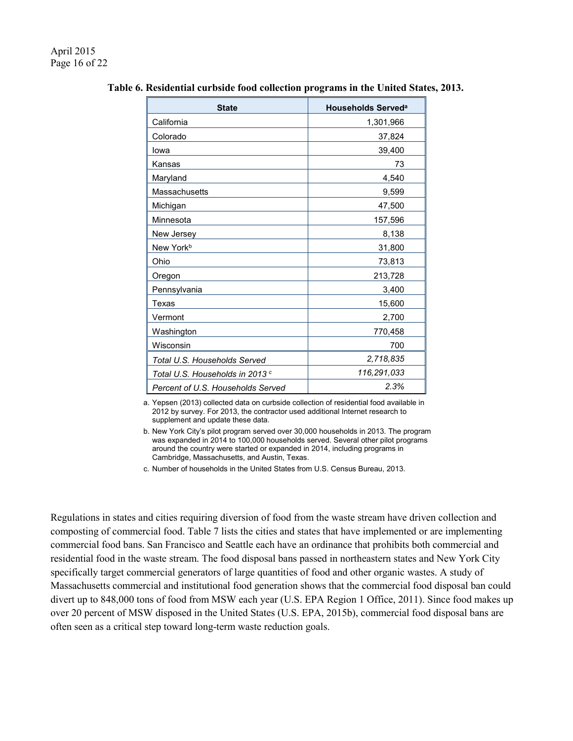| <b>State</b>                               | <b>Households Served<sup>a</sup></b> |
|--------------------------------------------|--------------------------------------|
| California                                 | 1,301,966                            |
| Colorado                                   | 37,824                               |
| lowa                                       | 39,400                               |
| Kansas                                     | 73                                   |
| Maryland                                   | 4,540                                |
| Massachusetts                              | 9,599                                |
| Michigan                                   | 47,500                               |
| Minnesota                                  | 157,596                              |
| New Jersey                                 | 8,138                                |
| New York <sup>b</sup>                      | 31,800                               |
| Ohio                                       | 73,813                               |
| Oregon                                     | 213,728                              |
| Pennsylvania                               | 3,400                                |
| Texas                                      | 15,600                               |
| Vermont                                    | 2,700                                |
| Washington                                 | 770,458                              |
| Wisconsin                                  | 700                                  |
| Total U.S. Households Served               | 2,718,835                            |
| Total U.S. Households in 2013 <sup>c</sup> | 116,291,033                          |
| Percent of U.S. Households Served          | 2.3%                                 |

**Table 6. Residential curbside food collection programs in the United States, 2013.**

a. Yepsen (2013) collected data on curbside collection of residential food available in 2012 by survey. For 2013, the contractor used additional Internet research to supplement and update these data.

b. New York City's pilot program served over 30,000 households in 2013. The program was expanded in 2014 to 100,000 households served. Several other pilot programs around the country were started or expanded in 2014, including programs in Cambridge, Massachusetts, and Austin, Texas.

c. Number of households in the United States from U.S. Census Bureau, 2013.

Regulations in states and cities requiring diversion of food from the waste stream have driven collection and composting of commercial food. Table 7 lists the cities and states that have implemented or are implementing commercial food bans. San Francisco and Seattle each have an ordinance that prohibits both commercial and residential food in the waste stream. The food disposal bans passed in northeastern states and New York City specifically target commercial generators of large quantities of food and other organic wastes. A study of Massachusetts commercial and institutional food generation shows that the commercial food disposal ban could divert up to 848,000 tons of food from MSW each year (U.S. EPA Region 1 Office, 2011). Since food makes up over 20 percent of MSW disposed in the United States (U.S. EPA, 2015b), commercial food disposal bans are often seen as a critical step toward long-term waste reduction goals.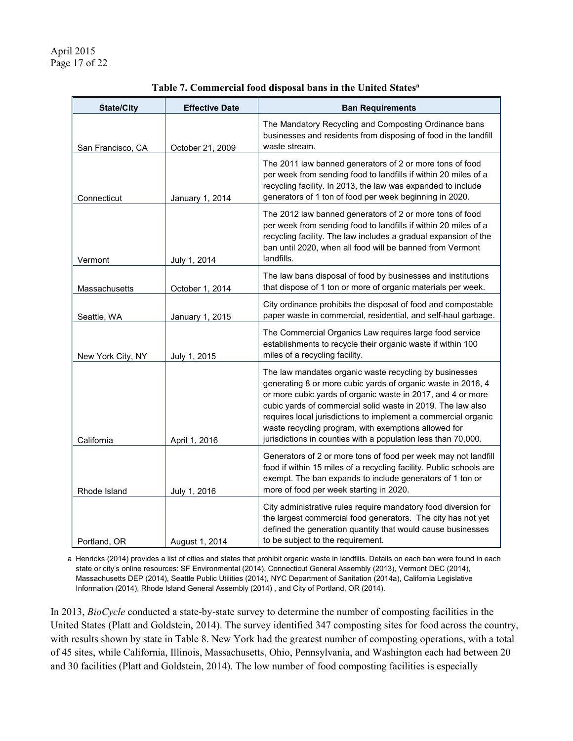| <b>State/City</b> | <b>Effective Date</b> | <b>Ban Requirements</b>                                                                                                                                                                                                                                                                                                                                                                                                                         |
|-------------------|-----------------------|-------------------------------------------------------------------------------------------------------------------------------------------------------------------------------------------------------------------------------------------------------------------------------------------------------------------------------------------------------------------------------------------------------------------------------------------------|
| San Francisco, CA | October 21, 2009      | The Mandatory Recycling and Composting Ordinance bans<br>businesses and residents from disposing of food in the landfill<br>waste stream.                                                                                                                                                                                                                                                                                                       |
| Connecticut       | January 1, 2014       | The 2011 law banned generators of 2 or more tons of food<br>per week from sending food to landfills if within 20 miles of a<br>recycling facility. In 2013, the law was expanded to include<br>generators of 1 ton of food per week beginning in 2020.                                                                                                                                                                                          |
| Vermont           | July 1, 2014          | The 2012 law banned generators of 2 or more tons of food<br>per week from sending food to landfills if within 20 miles of a<br>recycling facility. The law includes a gradual expansion of the<br>ban until 2020, when all food will be banned from Vermont<br>landfills.                                                                                                                                                                       |
| Massachusetts     | October 1, 2014       | The law bans disposal of food by businesses and institutions<br>that dispose of 1 ton or more of organic materials per week.                                                                                                                                                                                                                                                                                                                    |
| Seattle, WA       | January 1, 2015       | City ordinance prohibits the disposal of food and compostable<br>paper waste in commercial, residential, and self-haul garbage.                                                                                                                                                                                                                                                                                                                 |
| New York City, NY | July 1, 2015          | The Commercial Organics Law requires large food service<br>establishments to recycle their organic waste if within 100<br>miles of a recycling facility.                                                                                                                                                                                                                                                                                        |
| California        | April 1, 2016         | The law mandates organic waste recycling by businesses<br>generating 8 or more cubic yards of organic waste in 2016, 4<br>or more cubic yards of organic waste in 2017, and 4 or more<br>cubic yards of commercial solid waste in 2019. The law also<br>requires local jurisdictions to implement a commercial organic<br>waste recycling program, with exemptions allowed for<br>jurisdictions in counties with a population less than 70,000. |
| Rhode Island      | July 1, 2016          | Generators of 2 or more tons of food per week may not landfill<br>food if within 15 miles of a recycling facility. Public schools are<br>exempt. The ban expands to include generators of 1 ton or<br>more of food per week starting in 2020.                                                                                                                                                                                                   |
| Portland, OR      | August 1, 2014        | City administrative rules require mandatory food diversion for<br>the largest commercial food generators. The city has not yet<br>defined the generation quantity that would cause businesses<br>to be subject to the requirement.                                                                                                                                                                                                              |

| Table 7. Commercial food disposal bans in the United States <sup>a</sup> |  |  |  |  |
|--------------------------------------------------------------------------|--|--|--|--|
|--------------------------------------------------------------------------|--|--|--|--|

a Henricks (2014) provides a list of cities and states that prohibit organic waste in landfills. Details on each ban were found in each state or city's online resources: SF Environmental (2014), Connecticut General Assembly (2013), Vermont DEC (2014), Massachusetts DEP (2014), Seattle Public Utilities (2014), NYC Department of Sanitation (2014a), California Legislative Information (2014), Rhode Island General Assembly (2014) , and City of Portland, OR (2014).

In 2013, *BioCycle* conducted a state-by-state survey to determine the number of composting facilities in the United States (Platt and Goldstein, 2014). The survey identified 347 composting sites for food across the country, with results shown by state in Table 8. New York had the greatest number of composting operations, with a total of 45 sites, while California, Illinois, Massachusetts, Ohio, Pennsylvania, and Washington each had between 20 and 30 facilities (Platt and Goldstein, 2014). The low number of food composting facilities is especially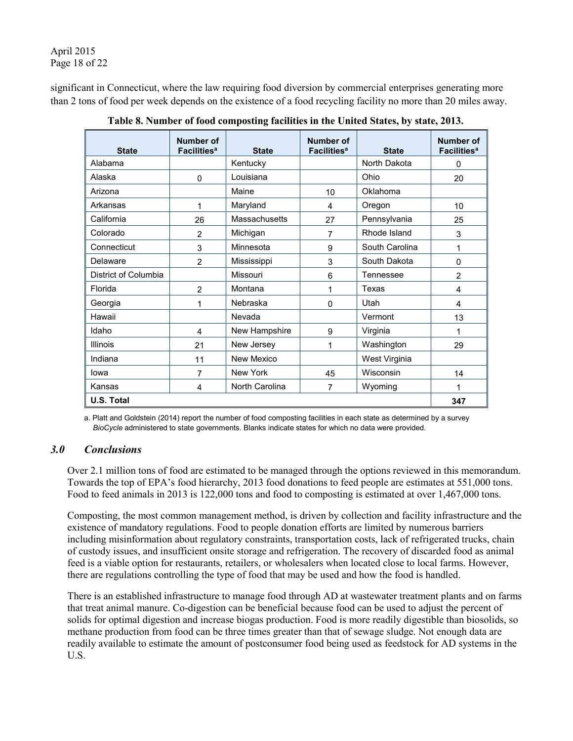April 2015 Page 18 of 22

significant in Connecticut, where the law requiring food diversion by commercial enterprises generating more than 2 tons of food per week depends on the existence of a food recycling facility no more than 20 miles away.

| <b>State</b>         | Number of<br><b>Facilities<sup>a</sup></b> | <b>State</b>   | Number of<br><b>Facilities<sup>a</sup></b> | <b>State</b>   | Number of<br><b>Facilities<sup>a</sup></b> |
|----------------------|--------------------------------------------|----------------|--------------------------------------------|----------------|--------------------------------------------|
| Alabama              |                                            | Kentucky       |                                            | North Dakota   | 0                                          |
| Alaska               | $\mathbf{0}$                               | Louisiana      |                                            | Ohio           | 20                                         |
| Arizona              |                                            | Maine          | 10                                         | Oklahoma       |                                            |
| Arkansas             | 1                                          | Maryland       | 4                                          | Oregon         | 10                                         |
| California           | 26                                         | Massachusetts  | 27                                         | Pennsylvania   | 25                                         |
| Colorado             | $\overline{2}$                             | Michigan       | 7                                          | Rhode Island   | 3                                          |
| Connecticut          | 3                                          | Minnesota      | 9                                          | South Carolina | 1                                          |
| Delaware             | $\overline{2}$                             | Mississippi    | 3                                          | South Dakota   | 0                                          |
| District of Columbia |                                            | Missouri       | 6                                          | Tennessee      | $\overline{2}$                             |
| Florida              | $\overline{2}$                             | Montana        | 1                                          | Texas          | 4                                          |
| Georgia              | 1                                          | Nebraska       | 0                                          | Utah           | 4                                          |
| Hawaii               |                                            | Nevada         |                                            | Vermont        | 13                                         |
| Idaho                | 4                                          | New Hampshire  | 9                                          | Virginia       | 1                                          |
| Illinois             | 21                                         | New Jersey     | 1                                          | Washington     | 29                                         |
| Indiana              | 11                                         | New Mexico     |                                            | West Virginia  |                                            |
| lowa                 | 7                                          | New York       | 45                                         | Wisconsin      | 14                                         |
| Kansas               | 4                                          | North Carolina | 7                                          | Wyoming        | 1                                          |
| U.S. Total           |                                            |                |                                            |                |                                            |

**Table 8. Number of food composting facilities in the United States, by state, 2013.**

a. Platt and Goldstein (2014) report the number of food composting facilities in each state as determined by a survey *BioCycle* administered to state governments. Blanks indicate states for which no data were provided.

## *3.0 Conclusions*

Over 2.1 million tons of food are estimated to be managed through the options reviewed in this memorandum. Towards the top of EPA's food hierarchy, 2013 food donations to feed people are estimates at 551,000 tons. Food to feed animals in 2013 is 122,000 tons and food to composting is estimated at over 1,467,000 tons.

Composting, the most common management method, is driven by collection and facility infrastructure and the existence of mandatory regulations. Food to people donation efforts are limited by numerous barriers including misinformation about regulatory constraints, transportation costs, lack of refrigerated trucks, chain of custody issues, and insufficient onsite storage and refrigeration. The recovery of discarded food as animal feed is a viable option for restaurants, retailers, or wholesalers when located close to local farms. However, there are regulations controlling the type of food that may be used and how the food is handled.

There is an established infrastructure to manage food through AD at wastewater treatment plants and on farms that treat animal manure. Co-digestion can be beneficial because food can be used to adjust the percent of solids for optimal digestion and increase biogas production. Food is more readily digestible than biosolids, so methane production from food can be three times greater than that of sewage sludge. Not enough data are readily available to estimate the amount of postconsumer food being used as feedstock for AD systems in the U.S.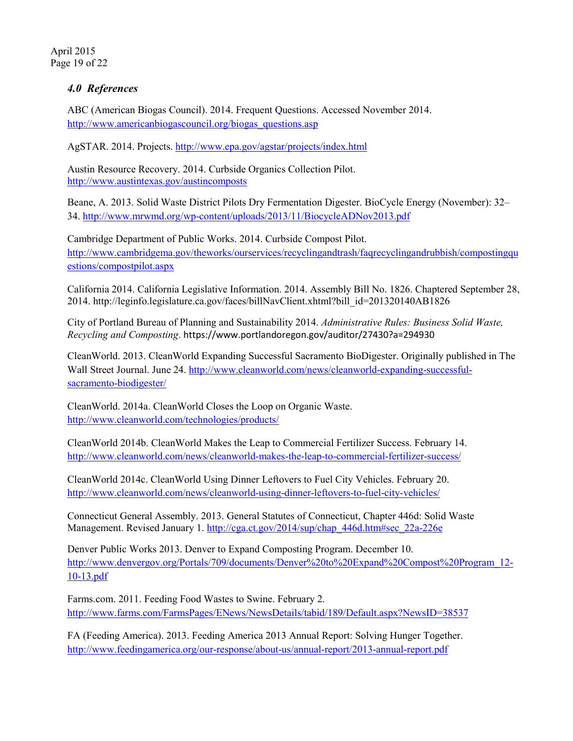April 2015 Page 19 of 22

## *4.0 References*

ABC (American Biogas Council). 2014. Frequent Questions. Accessed November 2014. [http://www.americanbiogascouncil.org/biogas\\_questions.asp](http://www.americanbiogascouncil.org/biogas_questions.asp)

AgSTAR. 2014. Projects. <http://www.epa.gov/agstar/projects/index.html>

Austin Resource Recovery. 2014. Curbside Organics Collection Pilot. <http://www.austintexas.gov/austincomposts>

Beane, A. 2013. Solid Waste District Pilots Dry Fermentation Digester. BioCycle Energy (November): 32– 34.<http://www.mrwmd.org/wp-content/uploads/2013/11/BiocycleADNov2013.pdf>

Cambridge Department of Public Works. 2014. Curbside Compost Pilot. [http://www.cambridgema.gov/theworks/ourservices/recyclingandtrash/faqrecyclingandrubbish/compostingqu](http://www.cambridgema.gov/theworks/ourservices/recyclingandtrash/faqrecyclingandrubbish/compostingquestions/compostpilot.aspx) [estions/compostpilot.aspx](http://www.cambridgema.gov/theworks/ourservices/recyclingandtrash/faqrecyclingandrubbish/compostingquestions/compostpilot.aspx)

California 2014. California Legislative Information. 2014. Assembly Bill No. 1826. Chaptered September 28, 2014. [http://leginfo.legislature.ca.gov/faces/billNavClient.xhtml?bill\\_id=201320140AB1826](http://leginfo.legislature.ca.gov/faces/billNavClient.xhtml?bill_id=201320140AB1826) 

City of Portland Bureau of Planning and Sustainability 2014. *Administrative Rules: Business Solid Waste, Recycling and Composting*. <https://www.portlandoregon.gov/auditor/27430?a=294930>

CleanWorld. 2013. CleanWorld Expanding Successful Sacramento BioDigester. Originally published in The Wall Street Journal. June 24. [http://www.cleanworld.com/news/cleanworld-expanding-successful](http://www.cleanworld.com/news/cleanworld-expanding-successful-sacramento-biodigester/)[sacramento-biodigester/](http://www.cleanworld.com/news/cleanworld-expanding-successful-sacramento-biodigester/)

CleanWorld. 2014a. CleanWorld Closes the Loop on Organic Waste. <http://www.cleanworld.com/technologies/products/>

CleanWorld 2014b. CleanWorld Makes the Leap to Commercial Fertilizer Success. February 14. <http://www.cleanworld.com/news/cleanworld-makes-the-leap-to-commercial-fertilizer-success/>

CleanWorld 2014c. CleanWorld Using Dinner Leftovers to Fuel City Vehicles. February 20. <http://www.cleanworld.com/news/cleanworld-using-dinner-leftovers-to-fuel-city-vehicles/>

Connecticut General Assembly. 2013. General Statutes of Connecticut, Chapter 446d: Solid Waste Management. Revised January 1. [http://cga.ct.gov/2014/sup/chap\\_446d.htm#sec\\_22a-226e](http://cga.ct.gov/2014/sup/chap_446d.htm%23sec_22a-226e)

Denver Public Works 2013. Denver to Expand Composting Program. December 10. [http://www.denvergov.org/Portals/709/documents/Denver%20to%20Expand%20Compost%20Program\\_12-](http://www.denvergov.org/Portals/709/documents/Denver%20to%20Expand%20Compost%20Program_12-10-13.pdf) [10-13.pdf](http://www.denvergov.org/Portals/709/documents/Denver%20to%20Expand%20Compost%20Program_12-10-13.pdf)

Farms.com. 2011. Feeding Food Wastes to Swine. February 2. <http://www.farms.com/FarmsPages/ENews/NewsDetails/tabid/189/Default.aspx?NewsID=38537>

FA (Feeding America). 2013. Feeding America 2013 Annual Report: Solving Hunger Together. <http://www.feedingamerica.org/our-response/about-us/annual-report/2013-annual-report.pdf>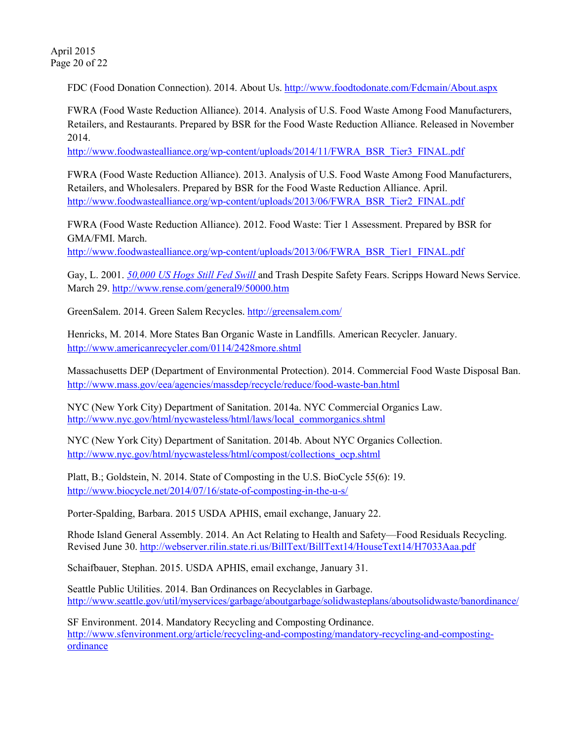April 2015 Page 20 of 22

FDC (Food Donation Connection). 2014. About Us.<http://www.foodtodonate.com/Fdcmain/About.aspx>

FWRA (Food Waste Reduction Alliance). 2014. Analysis of U.S. Food Waste Among Food Manufacturers, Retailers, and Restaurants. Prepared by BSR for the Food Waste Reduction Alliance. Released in November 2014.

[http://www.foodwastealliance.org/wp-content/uploads/2014/11/FWRA\\_BSR\\_Tier3\\_FINAL.pdf](http://www.foodwastealliance.org/wp-content/uploads/2014/11/FWRA_BSR_Tier3_FINAL.pdf)

FWRA (Food Waste Reduction Alliance). 2013. Analysis of U.S. Food Waste Among Food Manufacturers, Retailers, and Wholesalers. Prepared by BSR for the Food Waste Reduction Alliance. April. [http://www.foodwastealliance.org/wp-content/uploads/2013/06/FWRA\\_BSR\\_Tier2\\_FINAL.pdf](http://www.foodwastealliance.org/wp-content/uploads/2013/06/FWRA_BSR_Tier2_FINAL.pdf)

FWRA (Food Waste Reduction Alliance). 2012. Food Waste: Tier 1 Assessment. Prepared by BSR for GMA/FMI. March.

[http://www.foodwastealliance.org/wp-content/uploads/2013/06/FWRA\\_BSR\\_Tier1\\_FINAL.pdf](http://www.foodwastealliance.org/wp-content/uploads/2013/06/FWRA_BSR_Tier1_FINAL.pdf)

Gay, L. 2001. *50,000 US Hogs Still Fed Swill* and Trash Despite Safety Fears. Scripps Howard News Service. March 29.<http://www.rense.com/general9/50000.htm>

GreenSalem. 2014. Green Salem Recycles. <http://greensalem.com/>

Henricks, M. 2014. More States Ban Organic Waste in Landfills. American Recycler. January. <http://www.americanrecycler.com/0114/2428more.shtml>

Massachusetts DEP (Department of Environmental Protection). 2014. Commercial Food Waste Disposal Ban. <http://www.mass.gov/eea/agencies/massdep/recycle/reduce/food-waste-ban.html>

NYC (New York City) Department of Sanitation. 2014a. NYC Commercial Organics Law. [http://www.nyc.gov/html/nycwasteless/html/laws/local\\_commorganics.shtml](http://www.nyc.gov/html/nycwasteless/html/laws/local_commorganics.shtml)

NYC (New York City) Department of Sanitation. 2014b. About NYC Organics Collection. [http://www.nyc.gov/html/nycwasteless/html/compost/collections\\_ocp.shtml](http://www.nyc.gov/html/nycwasteless/html/compost/collections_ocp.shtml)

Platt, B.; Goldstein, N. 2014. State of Composting in the U.S. BioCycle 55(6): 19. <http://www.biocycle.net/2014/07/16/state-of-composting-in-the-u-s/>

Porter-Spalding, Barbara. 2015 USDA APHIS, email exchange, January 22.

Rhode Island General Assembly. 2014. An Act Relating to Health and Safety—Food Residuals Recycling. Revised June 30[. http://webserver.rilin.state.ri.us/BillText/BillText14/HouseText14/H7033Aaa.pdf](http://webserver.rilin.state.ri.us/BillText/BillText14/HouseText14/H7033Aaa.pdf)

Schaifbauer, Stephan. 2015. USDA APHIS, email exchange, January 31.

Seattle Public Utilities. 2014. Ban Ordinances on Recyclables in Garbage. <http://www.seattle.gov/util/myservices/garbage/aboutgarbage/solidwasteplans/aboutsolidwaste/banordinance/>

SF Environment. 2014. Mandatory Recycling and Composting Ordinance. [http://www.sfenvironment.org/article/recycling-and-composting/mandatory-recycling-and-composting](http://www.sfenvironment.org/article/recycling-and-composting/mandatory-recycling-and-composting-ordinance)[ordinance](http://www.sfenvironment.org/article/recycling-and-composting/mandatory-recycling-and-composting-ordinance)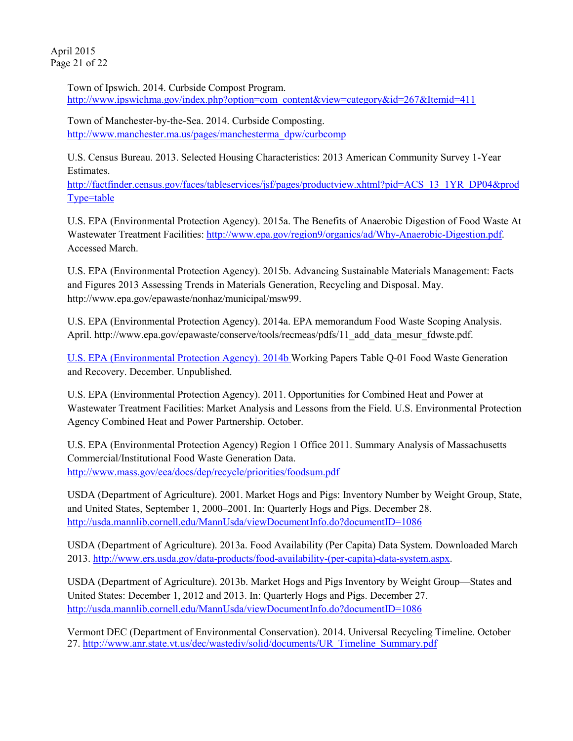April 2015 Page 21 of 22

> Town of Ipswich. 2014. Curbside Compost Program. [http://www.ipswichma.gov/index.php?option=com\\_content&view=category&id=267&Itemid=411](http://www.ipswichma.gov/index.php?option=com_content&view=category&id=267&Itemid=411)

Town of Manchester-by-the-Sea. 2014. Curbside Composting. [http://www.manchester.ma.us/pages/manchesterma\\_dpw/curbcomp](http://www.manchester.ma.us/pages/manchesterma_dpw/curbcomp)

U.S. Census Bureau. 2013. Selected Housing Characteristics: 2013 American Community Survey 1-Year Estimates.

[http://factfinder.census.gov/faces/tableservices/jsf/pages/productview.xhtml?pid=ACS\\_13\\_1YR\\_DP04&prod](http://factfinder.census.gov/faces/tableservices/jsf/pages/productview.xhtml?pid=ACS_13_1YR_DP04&prodType=table) [Type=table](http://factfinder.census.gov/faces/tableservices/jsf/pages/productview.xhtml?pid=ACS_13_1YR_DP04&prodType=table)

U.S. EPA (Environmental Protection Agency). 2015a. The Benefits of Anaerobic Digestion of Food Waste At Wastewater Treatment Facilities[: http://www.epa.gov/region9/organics/ad/Why-Anaerobic-Digestion.pdf.](http://www.epa.gov/region9/organics/ad/Why-Anaerobic-Digestion.pdf) Accessed March.

U.S. EPA (Environmental Protection Agency). 2015b. Advancing Sustainable Materials Management: Facts and Figures 2013 Assessing Trends in Materials Generation, Recycling and Disposal. May. [http://www.epa.gov/epawaste/nonhaz/municipal/msw99.](http://www.epa.gov/epawaste/nonhaz/municipal/msw99)

U.S. EPA (Environmental Protection Agency). 2014a. EPA memorandum Food Waste Scoping Analysis. April. [http://www.epa.gov/epawaste/conserve/tools/recmeas/pdfs/11\\_add\\_data\\_mesur\\_fdwste.pdf.](http://www.epa.gov/epawaste/conserve/tools/recmeas/pdfs/11_add_data_mesur_fdwste.pdf)

U.S. EPA (Environmental Protection Agency). 2014b Working Papers Table Q-01 Food Waste Generation and Recovery. December. Unpublished.

U.S. EPA (Environmental Protection Agency). 2011. Opportunities for Combined Heat and Power at Wastewater Treatment Facilities: Market Analysis and Lessons from the Field. U.S. Environmental Protection Agency Combined Heat and Power Partnership. October.

U.S. EPA (Environmental Protection Agency) Region 1 Office 2011. Summary Analysis of Massachusetts Commercial/Institutional Food Waste Generation Data. <http://www.mass.gov/eea/docs/dep/recycle/priorities/foodsum.pdf>

USDA (Department of Agriculture). 2001. Market Hogs and Pigs: Inventory Number by Weight Group, State, and United States, September 1, 2000–2001. In: Quarterly Hogs and Pigs. December 28. <http://usda.mannlib.cornell.edu/MannUsda/viewDocumentInfo.do?documentID=1086>

USDA (Department of Agriculture). 2013a. Food Availability (Per Capita) Data System. Downloaded March 2013. [http://www.ers.usda.gov/data-products/food-availability-\(per-capita\)-data-system.aspx.](http://www.ers.usda.gov/data-products/food-availability-(per-capita)-data-system.aspx)

USDA (Department of Agriculture). 2013b. Market Hogs and Pigs Inventory by Weight Group—States and United States: December 1, 2012 and 2013. In: Quarterly Hogs and Pigs. December 27. <http://usda.mannlib.cornell.edu/MannUsda/viewDocumentInfo.do?documentID=1086>

Vermont DEC (Department of Environmental Conservation). 2014. Universal Recycling Timeline. October 27. [http://www.anr.state.vt.us/dec/wastediv/solid/documents/UR\\_Timeline\\_Summary.pdf](http://www.anr.state.vt.us/dec/wastediv/solid/documents/UR_Timeline_Summary.pdf)